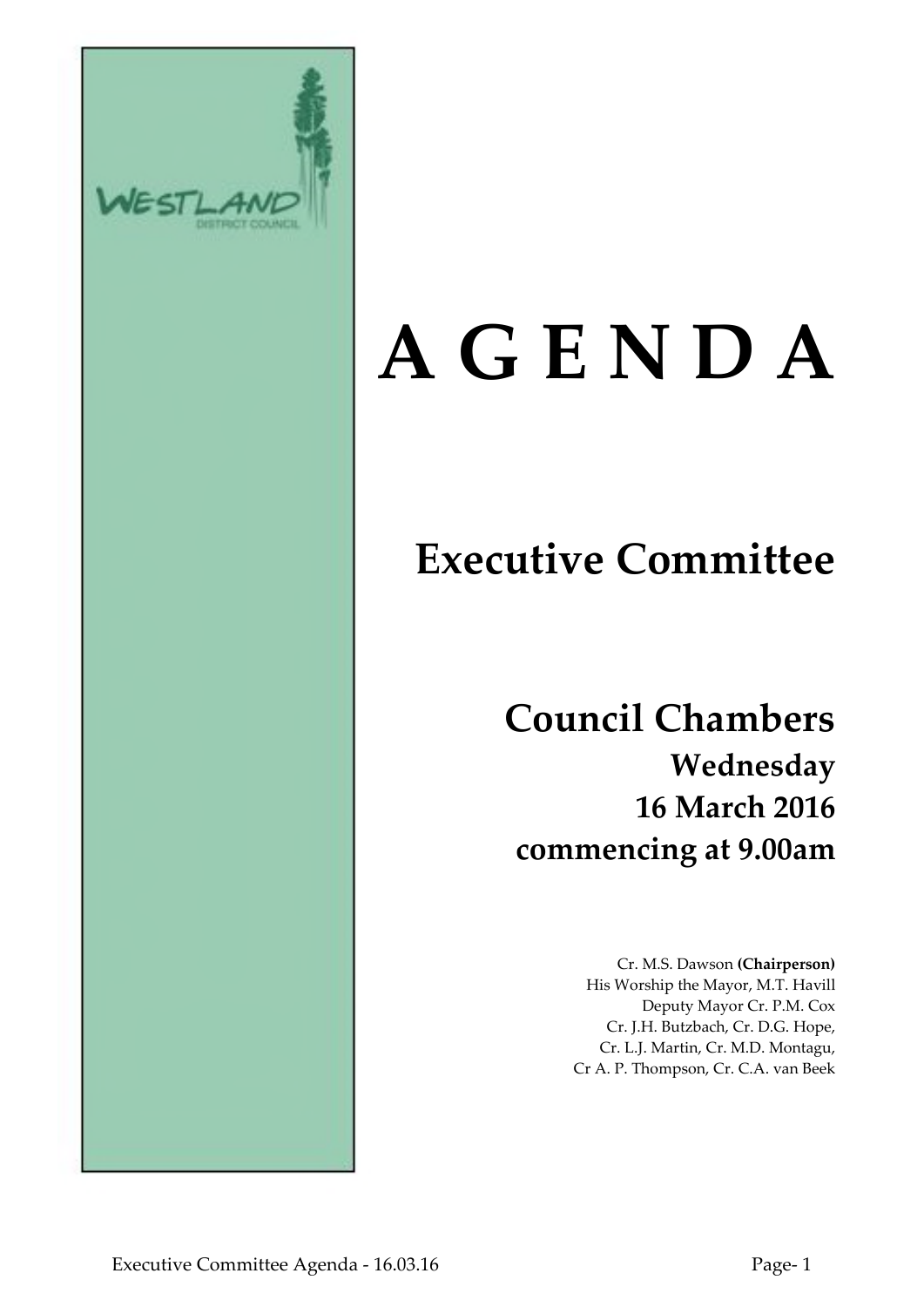

# **A G E N D A**

# **Executive Committee**

**Council Chambers Wednesday 16 March 2016 commencing at 9.00am**

> Cr. M.S. Dawson **(Chairperson)** His Worship the Mayor, M.T. Havill Deputy Mayor Cr. P.M. Cox Cr. J.H. Butzbach, Cr. D.G. Hope, Cr. L.J. Martin, Cr. M.D. Montagu, Cr A. P. Thompson, Cr. C.A. van Beek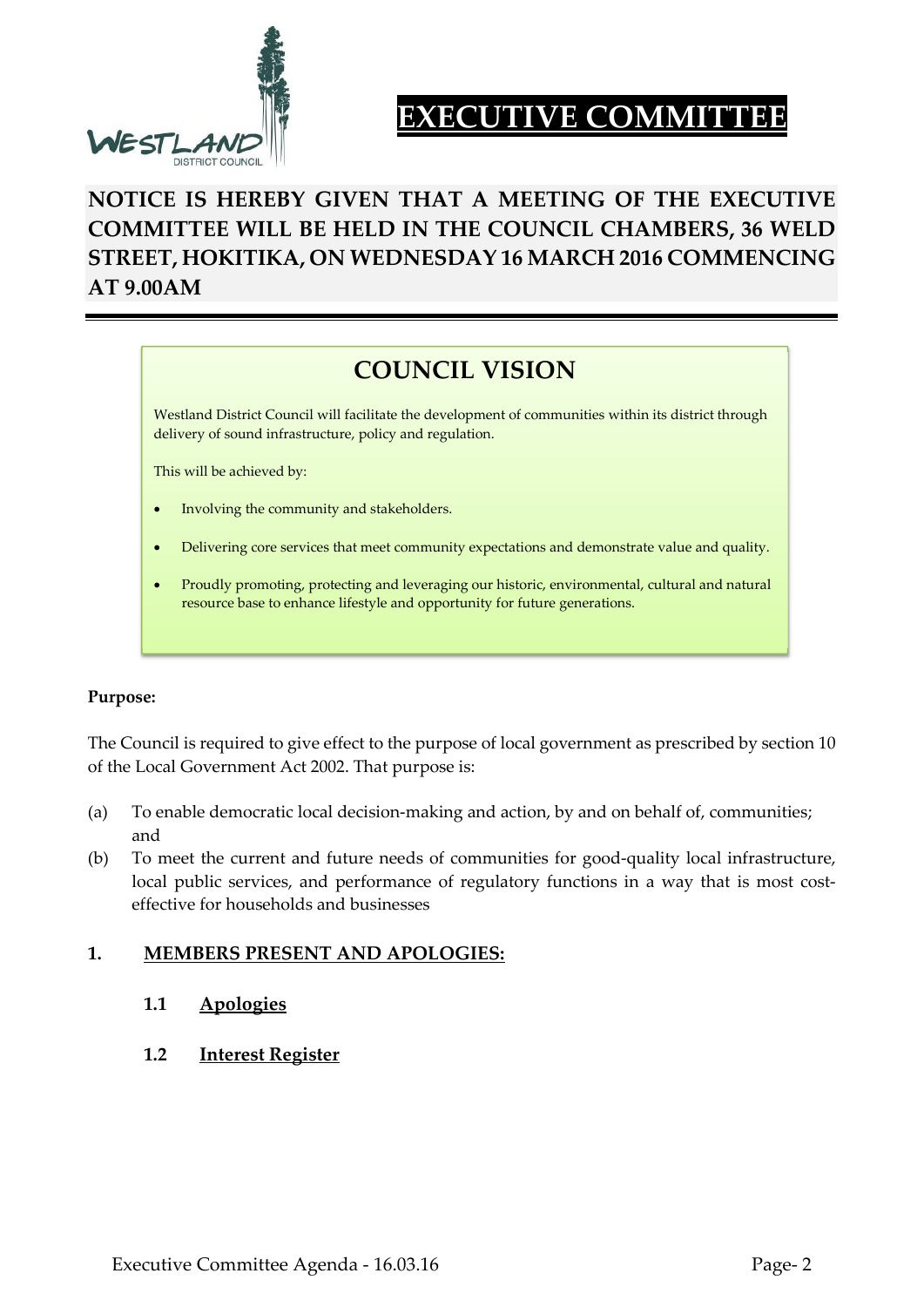

# **EXECUTIVE COMMITTEE**

# **NOTICE IS HEREBY GIVEN THAT A MEETING OF THE EXECUTIVE COMMITTEE WILL BE HELD IN THE COUNCIL CHAMBERS, 36 WELD STREET, HOKITIKA, ON WEDNESDAY 16 MARCH 2016 COMMENCING AT 9.00AM**

# **COUNCIL VISION**

Westland District Council will facilitate the development of communities within its district through delivery of sound infrastructure, policy and regulation.

This will be achieved by:

- Involving the community and stakeholders.
- Delivering core services that meet community expectations and demonstrate value and quality.
- Proudly promoting, protecting and leveraging our historic, environmental, cultural and natural resource base to enhance lifestyle and opportunity for future generations.

#### **Purpose:**

The Council is required to give effect to the purpose of local government as prescribed by section 10 of the Local Government Act 2002. That purpose is:

- (a) To enable democratic local decision-making and action, by and on behalf of, communities; and
- (b) To meet the current and future needs of communities for good-quality local infrastructure, local public services, and performance of regulatory functions in a way that is most costeffective for households and businesses

#### **1. MEMBERS PRESENT AND APOLOGIES:**

- **1.1 Apologies**
- **1.2 Interest Register**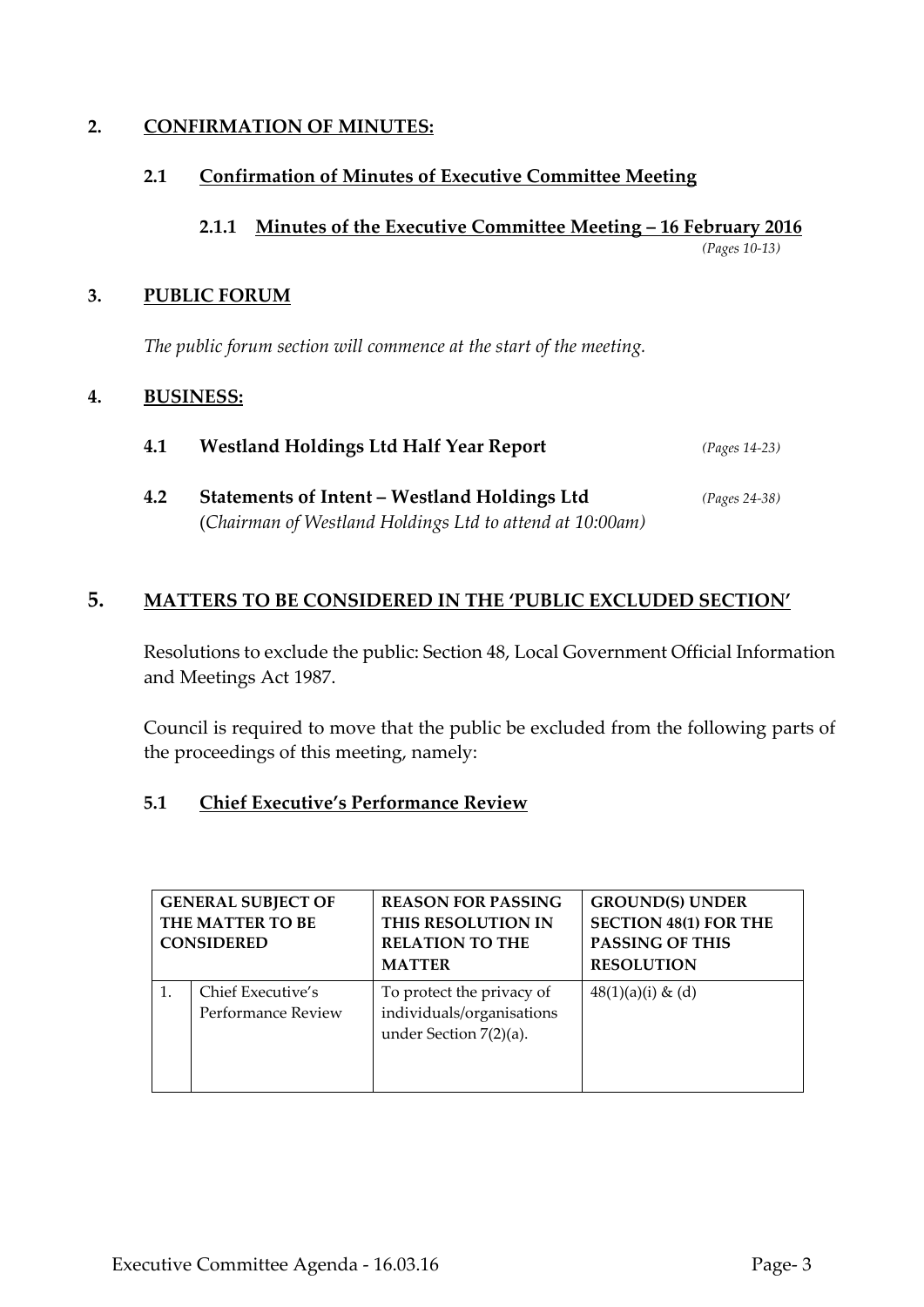# **2. CONFIRMATION OF MINUTES:**

# **2.1 Confirmation of Minutes of Executive Committee Meeting**

# **2.1.1 Minutes of the Executive Committee Meeting – 16 February 2016**

*(Pages 10-13)*

# **3. PUBLIC FORUM**

*The public forum section will commence at the start of the meeting.*

# **4. BUSINESS:**

| 4.1 | <b>Westland Holdings Ltd Half Year Report</b>            | $(Pages 14-23)$ |
|-----|----------------------------------------------------------|-----------------|
| 4.2 | Statements of Intent - Westland Holdings Ltd             | $(Pages 24-38)$ |
|     | (Chairman of Westland Holdings Ltd to attend at 10:00am) |                 |

# **5. MATTERS TO BE CONSIDERED IN THE 'PUBLIC EXCLUDED SECTION'**

Resolutions to exclude the public: Section 48, Local Government Official Information and Meetings Act 1987.

Council is required to move that the public be excluded from the following parts of the proceedings of this meeting, namely:

# **5.1 Chief Executive's Performance Review**

| <b>GENERAL SUBJECT OF</b><br>THE MATTER TO BE<br><b>CONSIDERED</b> |                                         | <b>REASON FOR PASSING</b><br>THIS RESOLUTION IN<br><b>RELATION TO THE</b><br><b>MATTER</b> | <b>GROUND(S) UNDER</b><br><b>SECTION 48(1) FOR THE</b><br><b>PASSING OF THIS</b><br><b>RESOLUTION</b> |  |  |
|--------------------------------------------------------------------|-----------------------------------------|--------------------------------------------------------------------------------------------|-------------------------------------------------------------------------------------------------------|--|--|
|                                                                    | Chief Executive's<br>Performance Review | To protect the privacy of<br>individuals/organisations<br>under Section 7(2)(a).           | $48(1)(a)(i) \& (d)$                                                                                  |  |  |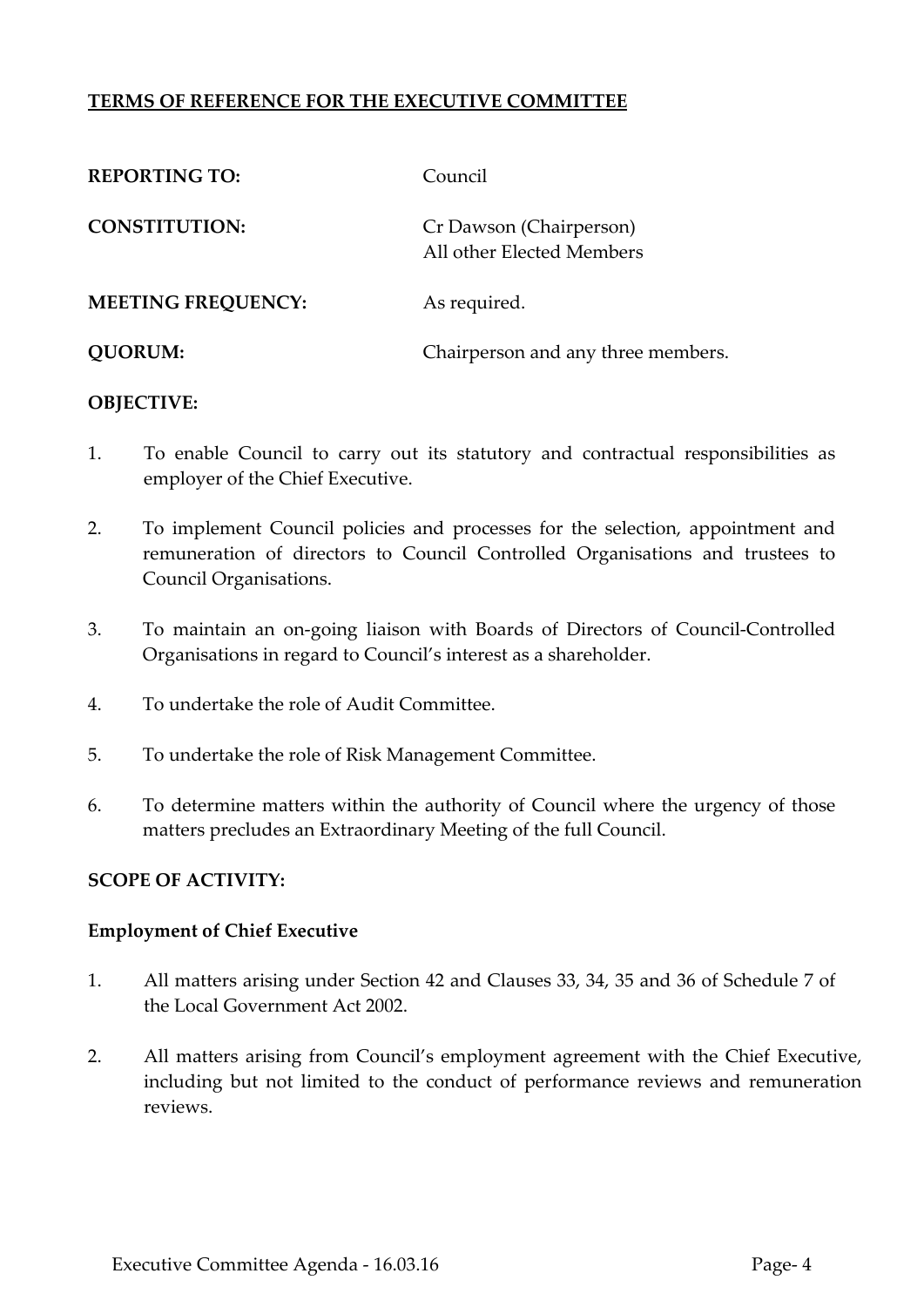# **TERMS OF REFERENCE FOR THE EXECUTIVE COMMITTEE**

| <b>REPORTING TO:</b>      | Council                                              |
|---------------------------|------------------------------------------------------|
| <b>CONSTITUTION:</b>      | Cr Dawson (Chairperson)<br>All other Elected Members |
| <b>MEETING FREQUENCY:</b> | As required.                                         |
| <b>OUORUM:</b>            | Chairperson and any three members.                   |

# **OBJECTIVE:**

- 1. To enable Council to carry out its statutory and contractual responsibilities as employer of the Chief Executive.
- 2. To implement Council policies and processes for the selection, appointment and remuneration of directors to Council Controlled Organisations and trustees to Council Organisations.
- 3. To maintain an on-going liaison with Boards of Directors of Council-Controlled Organisations in regard to Council's interest as a shareholder.
- 4. To undertake the role of Audit Committee.
- 5. To undertake the role of Risk Management Committee.
- 6. To determine matters within the authority of Council where the urgency of those matters precludes an Extraordinary Meeting of the full Council.

# **SCOPE OF ACTIVITY:**

# **Employment of Chief Executive**

- 1. All matters arising under Section 42 and Clauses 33, 34, 35 and 36 of Schedule 7 of the Local Government Act 2002.
- 2. All matters arising from Council's employment agreement with the Chief Executive, including but not limited to the conduct of performance reviews and remuneration reviews.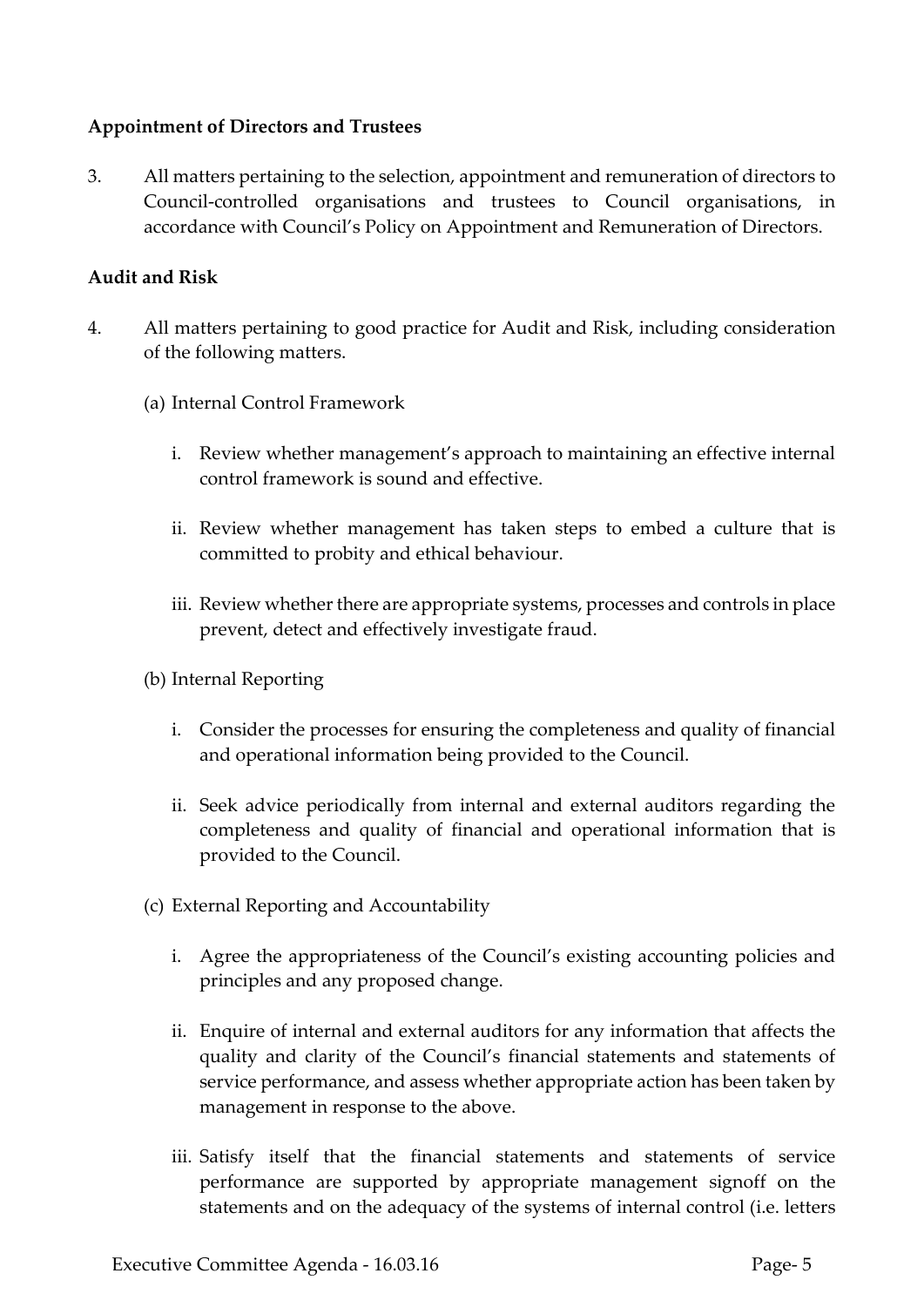# **Appointment of Directors and Trustees**

3. All matters pertaining to the selection, appointment and remuneration of directors to Council-controlled organisations and trustees to Council organisations, in accordance with Council's Policy on Appointment and Remuneration of Directors.

# **Audit and Risk**

- 4. All matters pertaining to good practice for Audit and Risk, including consideration of the following matters.
	- (a) Internal Control Framework
		- i. Review whether management's approach to maintaining an effective internal control framework is sound and effective.
		- ii. Review whether management has taken steps to embed a culture that is committed to probity and ethical behaviour.
		- iii. Review whether there are appropriate systems, processes and controls in place prevent, detect and effectively investigate fraud.
	- (b) Internal Reporting
		- i. Consider the processes for ensuring the completeness and quality of financial and operational information being provided to the Council.
		- ii. Seek advice periodically from internal and external auditors regarding the completeness and quality of financial and operational information that is provided to the Council.
	- (c) External Reporting and Accountability
		- i. Agree the appropriateness of the Council's existing accounting policies and principles and any proposed change.
		- ii. Enquire of internal and external auditors for any information that affects the quality and clarity of the Council's financial statements and statements of service performance, and assess whether appropriate action has been taken by management in response to the above.
		- iii. Satisfy itself that the financial statements and statements of service performance are supported by appropriate management signoff on the statements and on the adequacy of the systems of internal control (i.e. letters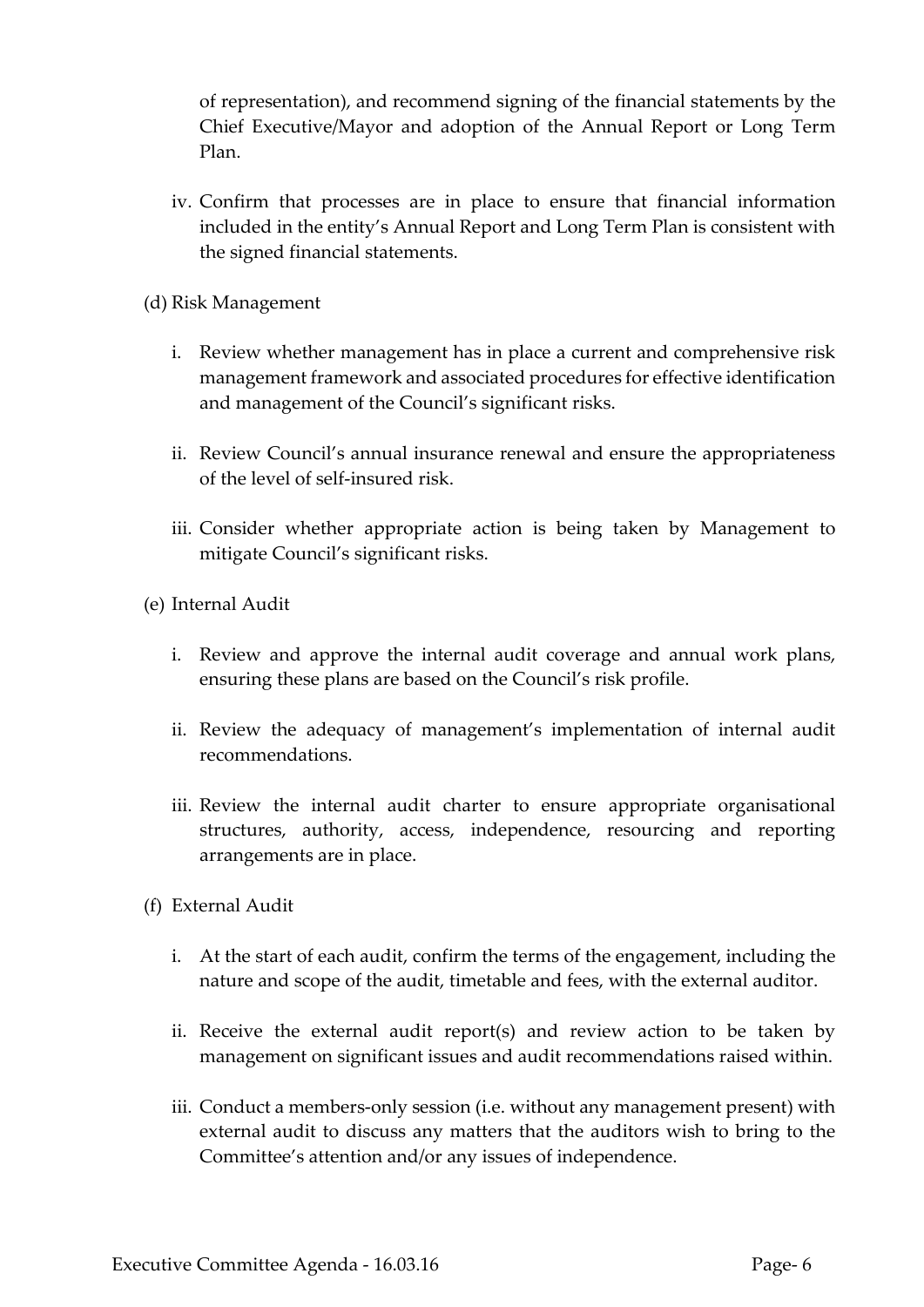of representation), and recommend signing of the financial statements by the Chief Executive/Mayor and adoption of the Annual Report or Long Term Plan.

- iv. Confirm that processes are in place to ensure that financial information included in the entity's Annual Report and Long Term Plan is consistent with the signed financial statements.
- (d) Risk Management
	- i. Review whether management has in place a current and comprehensive risk management framework and associated procedures for effective identification and management of the Council's significant risks.
	- ii. Review Council's annual insurance renewal and ensure the appropriateness of the level of self-insured risk.
	- iii. Consider whether appropriate action is being taken by Management to mitigate Council's significant risks.
- (e) Internal Audit
	- i. Review and approve the internal audit coverage and annual work plans, ensuring these plans are based on the Council's risk profile.
	- ii. Review the adequacy of management's implementation of internal audit recommendations.
	- iii. Review the internal audit charter to ensure appropriate organisational structures, authority, access, independence, resourcing and reporting arrangements are in place.
- (f) External Audit
	- i. At the start of each audit, confirm the terms of the engagement, including the nature and scope of the audit, timetable and fees, with the external auditor.
	- ii. Receive the external audit report(s) and review action to be taken by management on significant issues and audit recommendations raised within.
	- iii. Conduct a members-only session (i.e. without any management present) with external audit to discuss any matters that the auditors wish to bring to the Committee's attention and/or any issues of independence.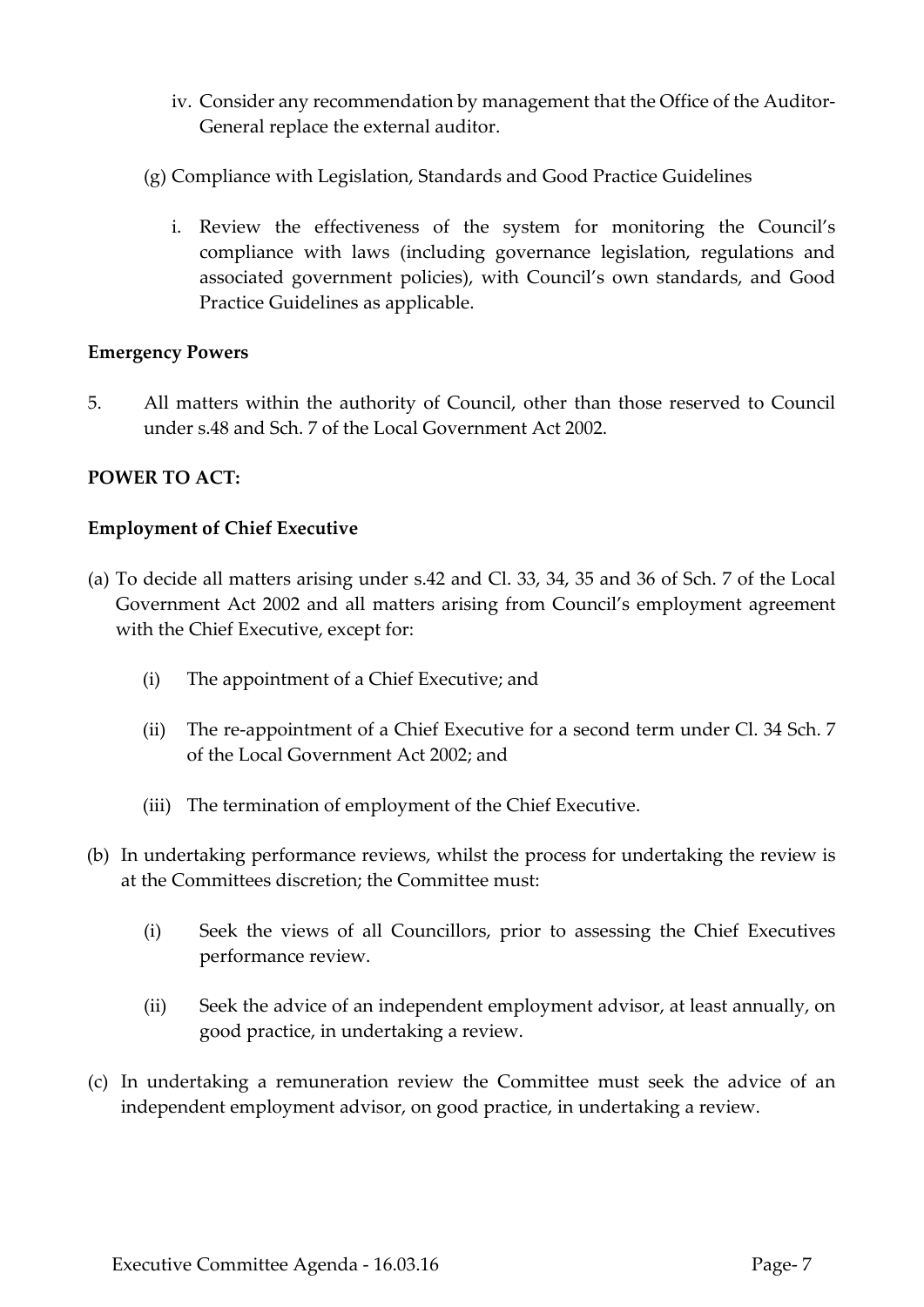- iv. Consider any recommendation by management that the Office of the Auditor-General replace the external auditor.
- (g) Compliance with Legislation, Standards and Good Practice Guidelines
	- i. Review the effectiveness of the system for monitoring the Council's compliance with laws (including governance legislation, regulations and associated government policies), with Council's own standards, and Good Practice Guidelines as applicable.

# **Emergency Powers**

5. All matters within the authority of Council, other than those reserved to Council under s.48 and Sch. 7 of the Local Government Act 2002.

# **POWER TO ACT:**

# **Employment of Chief Executive**

- (a) To decide all matters arising under s.42 and Cl. 33, 34, 35 and 36 of Sch. 7 of the Local Government Act 2002 and all matters arising from Council's employment agreement with the Chief Executive, except for:
	- (i) The appointment of a Chief Executive; and
	- (ii) The re-appointment of a Chief Executive for a second term under Cl. 34 Sch. 7 of the Local Government Act 2002; and
	- (iii) The termination of employment of the Chief Executive.
- (b) In undertaking performance reviews, whilst the process for undertaking the review is at the Committees discretion; the Committee must:
	- (i) Seek the views of all Councillors, prior to assessing the Chief Executives performance review.
	- (ii) Seek the advice of an independent employment advisor, at least annually, on good practice, in undertaking a review.
- (c) In undertaking a remuneration review the Committee must seek the advice of an independent employment advisor, on good practice, in undertaking a review.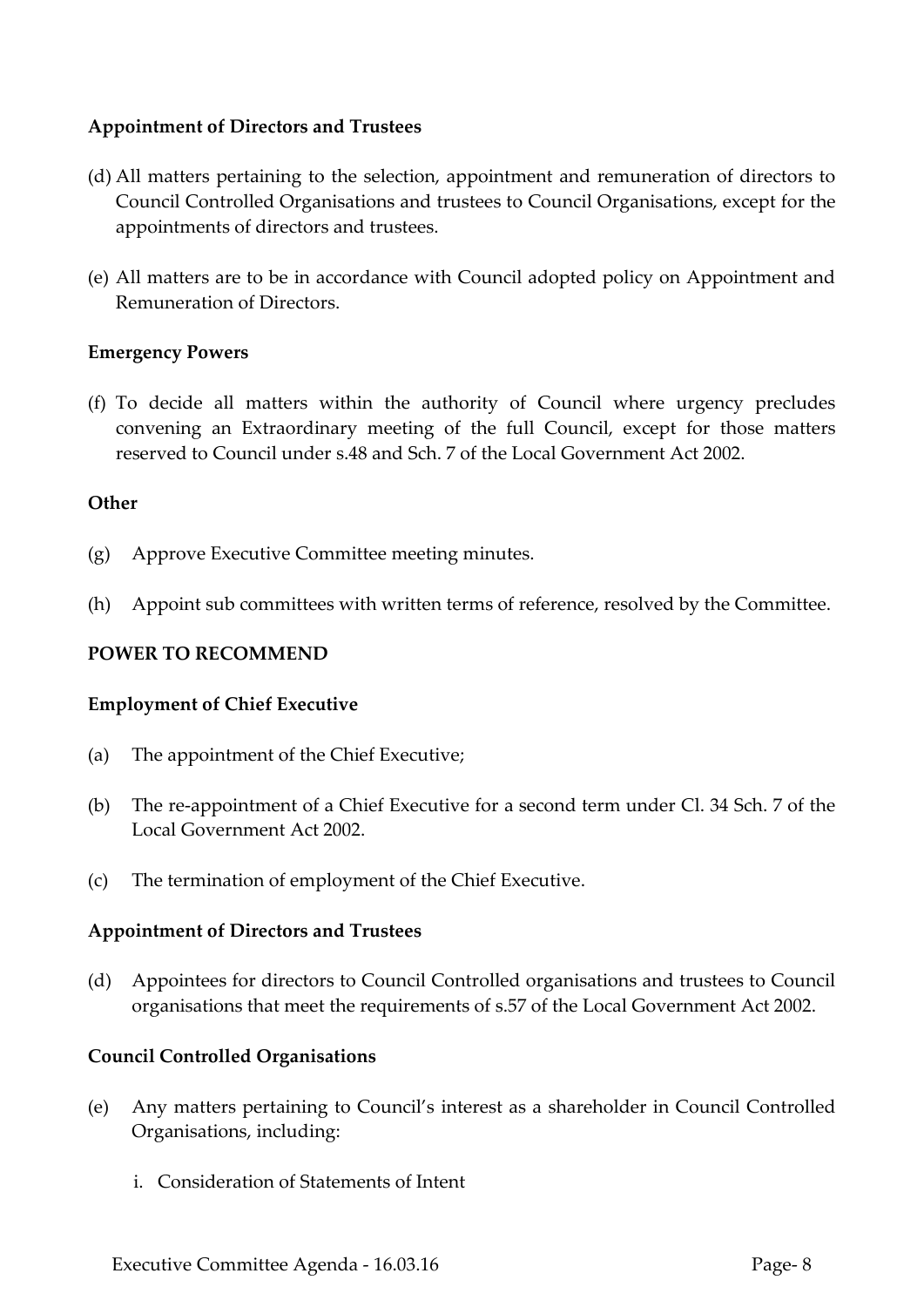# **Appointment of Directors and Trustees**

- (d) All matters pertaining to the selection, appointment and remuneration of directors to Council Controlled Organisations and trustees to Council Organisations, except for the appointments of directors and trustees.
- (e) All matters are to be in accordance with Council adopted policy on Appointment and Remuneration of Directors.

# **Emergency Powers**

(f) To decide all matters within the authority of Council where urgency precludes convening an Extraordinary meeting of the full Council, except for those matters reserved to Council under s.48 and Sch. 7 of the Local Government Act 2002.

# **Other**

- (g) Approve Executive Committee meeting minutes.
- (h) Appoint sub committees with written terms of reference, resolved by the Committee.

# **POWER TO RECOMMEND**

# **Employment of Chief Executive**

- (a) The appointment of the Chief Executive;
- (b) The re-appointment of a Chief Executive for a second term under Cl. 34 Sch. 7 of the Local Government Act 2002.
- (c) The termination of employment of the Chief Executive.

# **Appointment of Directors and Trustees**

(d) Appointees for directors to Council Controlled organisations and trustees to Council organisations that meet the requirements of s.57 of the Local Government Act 2002.

# **Council Controlled Organisations**

- (e) Any matters pertaining to Council's interest as a shareholder in Council Controlled Organisations, including:
	- i. Consideration of Statements of Intent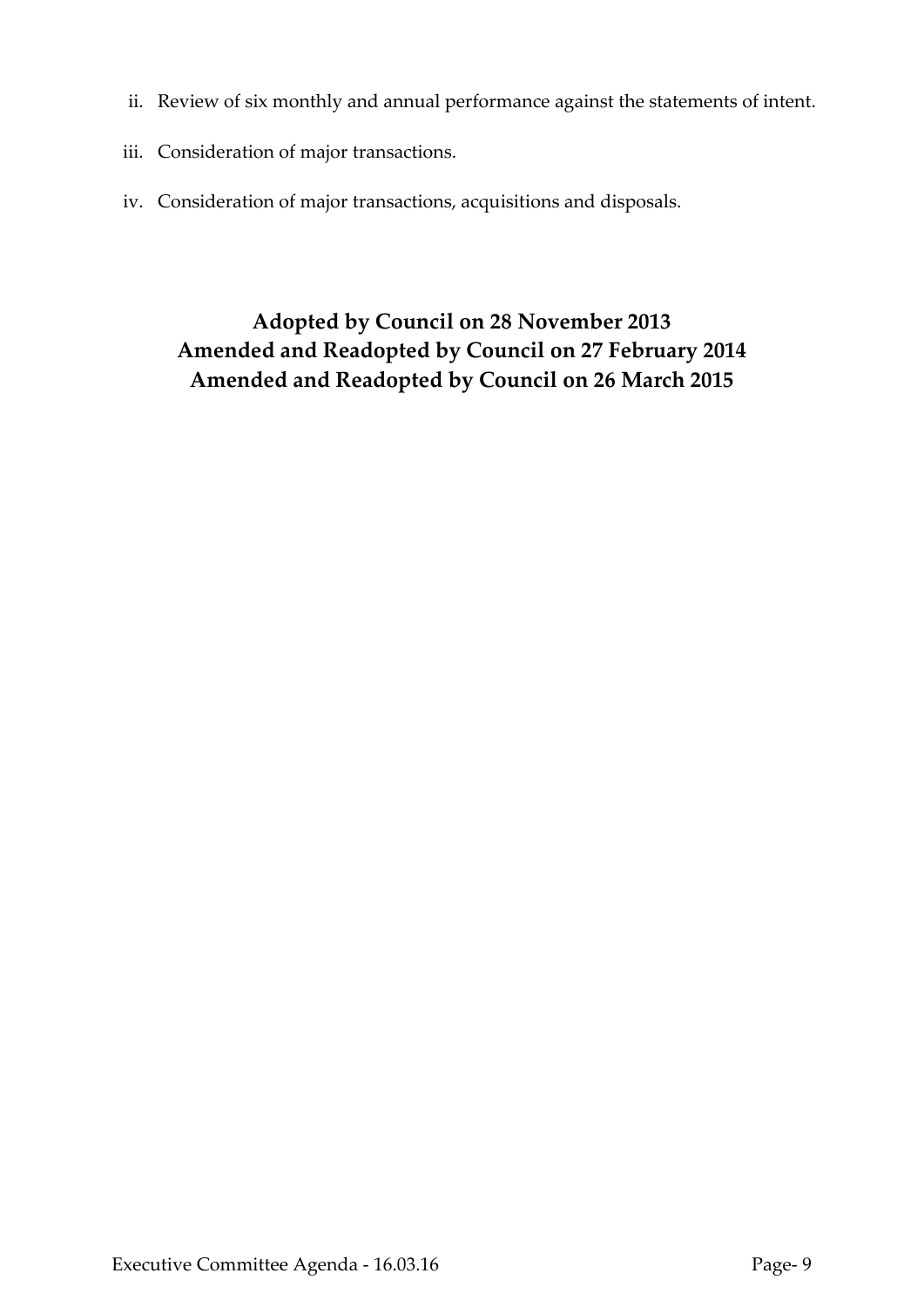- ii. Review of six monthly and annual performance against the statements of intent.
- iii. Consideration of major transactions.
- iv. Consideration of major transactions, acquisitions and disposals.

**Adopted by Council on 28 November 2013 Amended and Readopted by Council on 27 February 2014 Amended and Readopted by Council on 26 March 2015**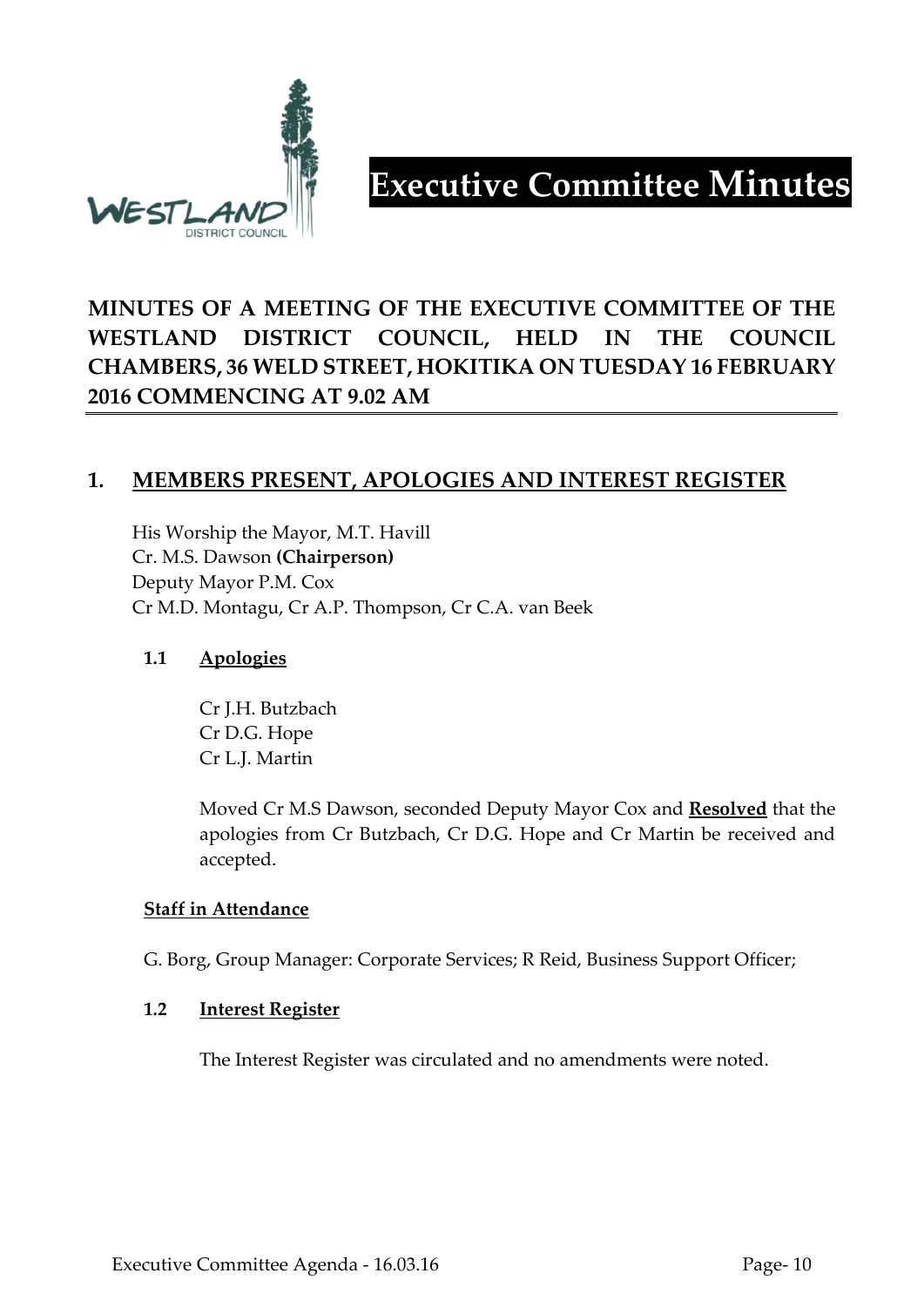

# **Executive Committee Minutes**

# **MINUTES OF A MEETING OF THE EXECUTIVE COMMITTEE OF THE WESTLAND DISTRICT COUNCIL, HELD IN THE COUNCIL CHAMBERS, 36 WELD STREET, HOKITIKA ON TUESDAY 16 FEBRUARY 2016 COMMENCING AT 9.02 AM**

# **1. MEMBERS PRESENT, APOLOGIES AND INTEREST REGISTER**

His Worship the Mayor, M.T. Havill Cr. M.S. Dawson **(Chairperson)** Deputy Mayor P.M. Cox Cr M.D. Montagu, Cr A.P. Thompson, Cr C.A. van Beek

# **1.1 Apologies**

Cr J.H. Butzbach Cr D.G. Hope Cr L.J. Martin

Moved Cr M.S Dawson, seconded Deputy Mayor Cox and **Resolved** that the apologies from Cr Butzbach, Cr D.G. Hope and Cr Martin be received and accepted.

# **Staff in Attendance**

G. Borg, Group Manager: Corporate Services; R Reid, Business Support Officer;

# **1.2 Interest Register**

The Interest Register was circulated and no amendments were noted.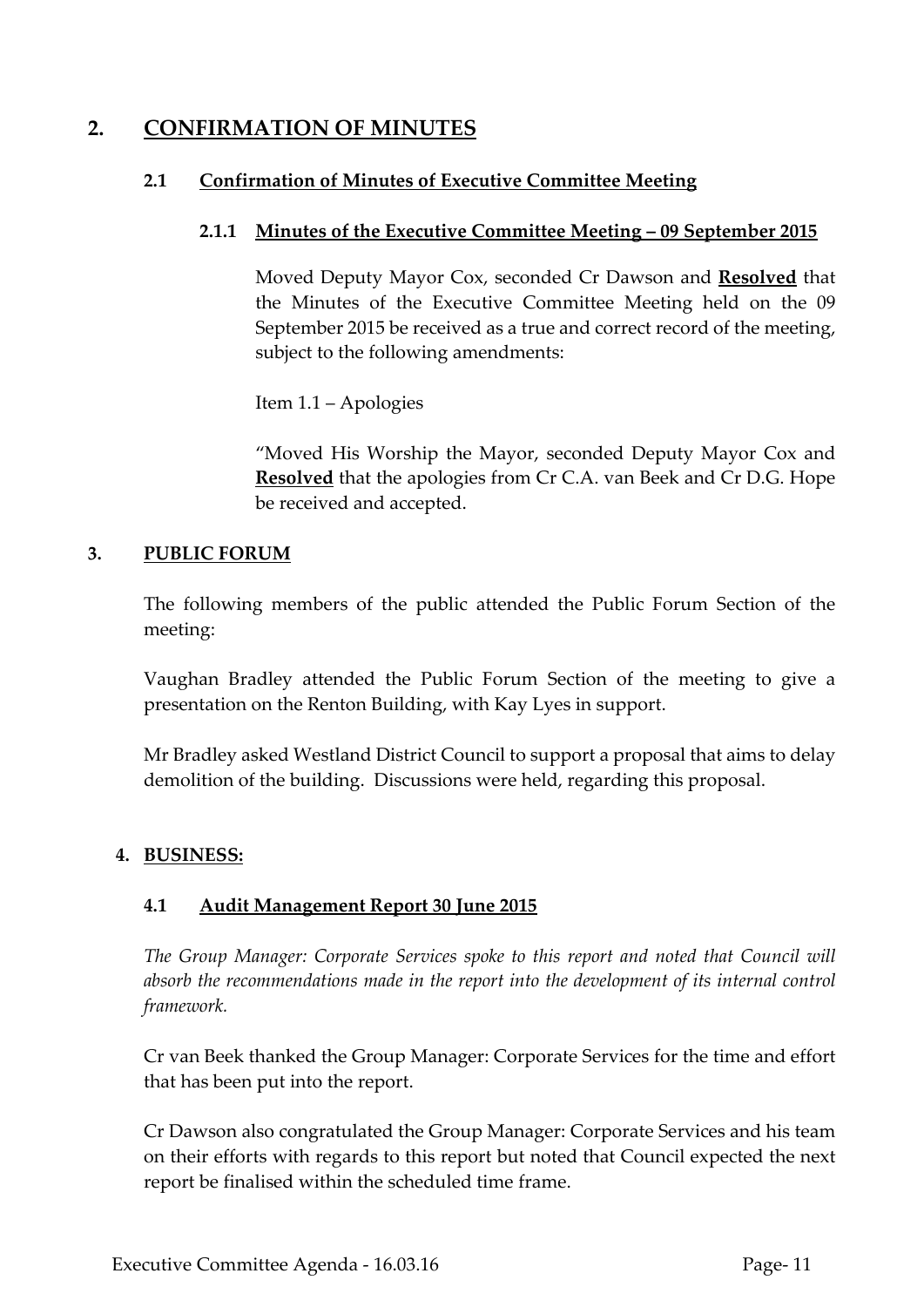# **2. CONFIRMATION OF MINUTES**

# **2.1 Confirmation of Minutes of Executive Committee Meeting**

# **2.1.1 Minutes of the Executive Committee Meeting – 09 September 2015**

Moved Deputy Mayor Cox, seconded Cr Dawson and **Resolved** that the Minutes of the Executive Committee Meeting held on the 09 September 2015 be received as a true and correct record of the meeting, subject to the following amendments:

Item 1.1 – Apologies

"Moved His Worship the Mayor, seconded Deputy Mayor Cox and **Resolved** that the apologies from Cr C.A. van Beek and Cr D.G. Hope be received and accepted.

# **3. PUBLIC FORUM**

The following members of the public attended the Public Forum Section of the meeting:

Vaughan Bradley attended the Public Forum Section of the meeting to give a presentation on the Renton Building, with Kay Lyes in support.

Mr Bradley asked Westland District Council to support a proposal that aims to delay demolition of the building. Discussions were held, regarding this proposal.

# **4. BUSINESS:**

# **4.1 Audit Management Report 30 June 2015**

*The Group Manager: Corporate Services spoke to this report and noted that Council will absorb the recommendations made in the report into the development of its internal control framework.*

Cr van Beek thanked the Group Manager: Corporate Services for the time and effort that has been put into the report.

Cr Dawson also congratulated the Group Manager: Corporate Services and his team on their efforts with regards to this report but noted that Council expected the next report be finalised within the scheduled time frame.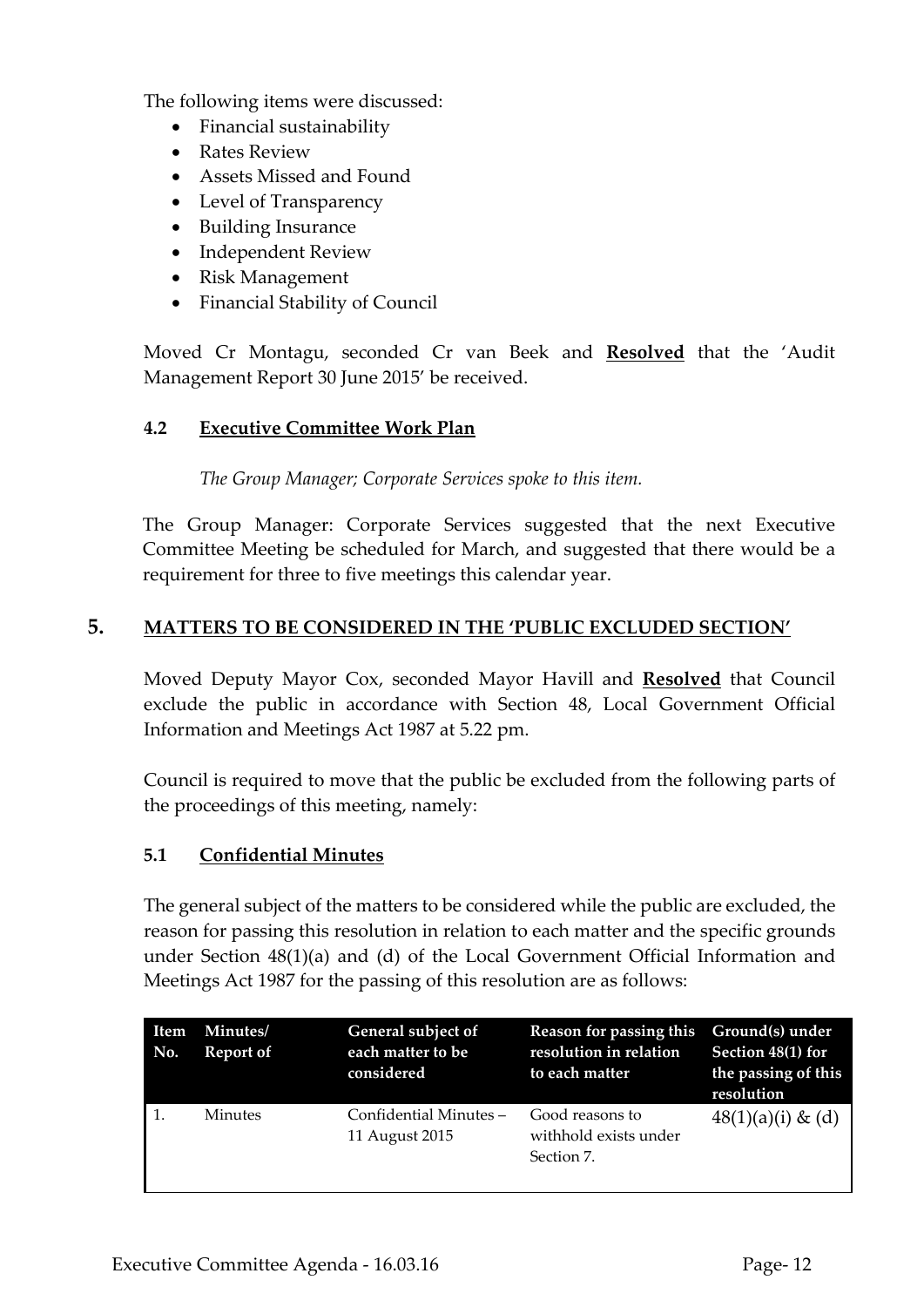The following items were discussed:

- Financial sustainability
- Rates Review
- Assets Missed and Found
- Level of Transparency
- Building Insurance
- Independent Review
- Risk Management
- Financial Stability of Council

Moved Cr Montagu, seconded Cr van Beek and **Resolved** that the 'Audit Management Report 30 June 2015' be received.

# **4.2 Executive Committee Work Plan**

*The Group Manager; Corporate Services spoke to this item.*

The Group Manager: Corporate Services suggested that the next Executive Committee Meeting be scheduled for March, and suggested that there would be a requirement for three to five meetings this calendar year.

# **5. MATTERS TO BE CONSIDERED IN THE 'PUBLIC EXCLUDED SECTION'**

Moved Deputy Mayor Cox, seconded Mayor Havill and **Resolved** that Council exclude the public in accordance with Section 48, Local Government Official Information and Meetings Act 1987 at 5.22 pm.

Council is required to move that the public be excluded from the following parts of the proceedings of this meeting, namely:

# **5.1 Confidential Minutes**

The general subject of the matters to be considered while the public are excluded, the reason for passing this resolution in relation to each matter and the specific grounds under Section 48(1)(a) and (d) of the Local Government Official Information and Meetings Act 1987 for the passing of this resolution are as follows:

| <b>Item</b><br>No. | Minutes/<br>Report of | General subject of<br>each matter to be<br>considered | Reason for passing this<br>resolution in relation<br>to each matter | Ground(s) under<br>Section 48(1) for<br>the passing of this<br>resolution |
|--------------------|-----------------------|-------------------------------------------------------|---------------------------------------------------------------------|---------------------------------------------------------------------------|
|                    | <b>Minutes</b>        | Confidential Minutes -<br>11 August 2015              | Good reasons to<br>withhold exists under<br>Section 7.              | $48(1)(a)(i) \& (d)$                                                      |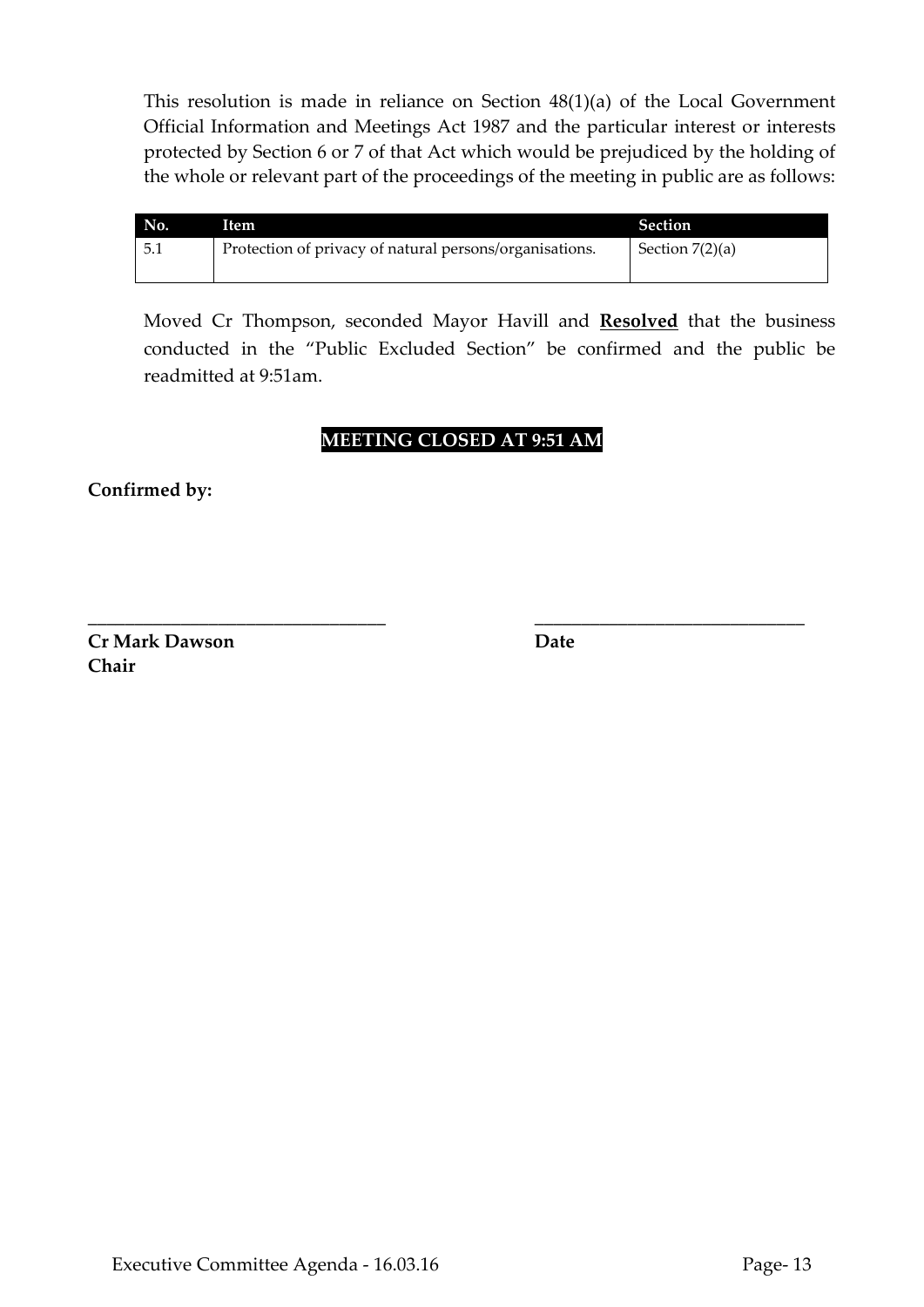This resolution is made in reliance on Section 48(1)(a) of the Local Government Official Information and Meetings Act 1987 and the particular interest or interests protected by Section 6 or 7 of that Act which would be prejudiced by the holding of the whole or relevant part of the proceedings of the meeting in public are as follows:

| No.    | Item                                                    | <b>Section</b>    |
|--------|---------------------------------------------------------|-------------------|
| $-5.1$ | Protection of privacy of natural persons/organisations. | Section $7(2)(a)$ |

Moved Cr Thompson, seconded Mayor Havill and **Resolved** that the business conducted in the "Public Excluded Section" be confirmed and the public be readmitted at 9:51am.

# **MEETING CLOSED AT 9:51 AM**

**\_\_\_\_\_\_\_\_\_\_\_\_\_\_\_\_\_\_\_\_\_\_\_\_\_\_\_\_\_\_\_\_ \_\_\_\_\_\_\_\_\_\_\_\_\_\_\_\_\_\_\_\_\_\_\_\_\_\_\_\_\_**

**Confirmed by:**

**Cr Mark Dawson Date Chair**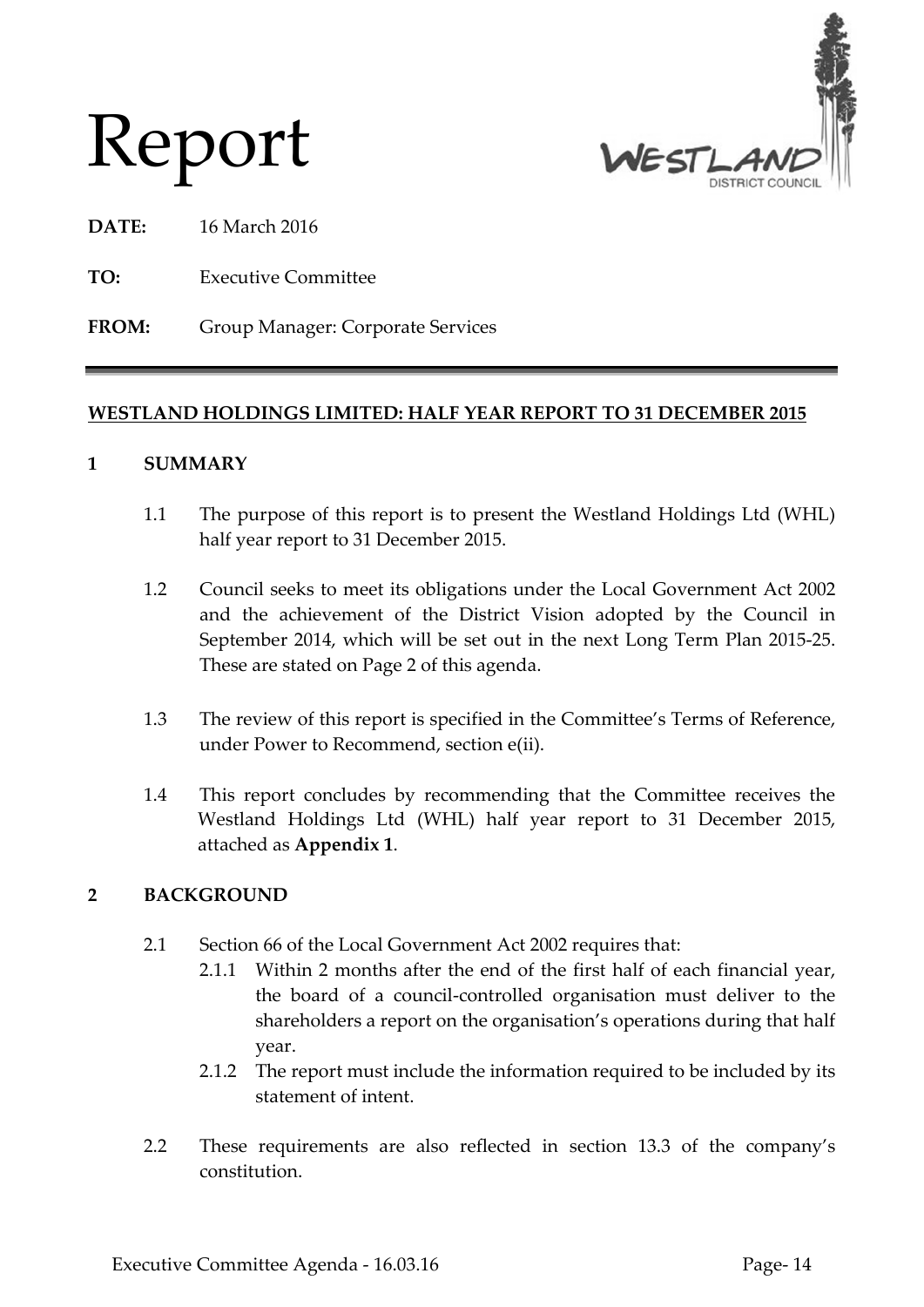



**DATE:** 16 March 2016

**TO:** Executive Committee

**FROM:** Group Manager: Corporate Services

# **WESTLAND HOLDINGS LIMITED: HALF YEAR REPORT TO 31 DECEMBER 2015**

# **1 SUMMARY**

- 1.1 The purpose of this report is to present the Westland Holdings Ltd (WHL) half year report to 31 December 2015.
- 1.2 Council seeks to meet its obligations under the Local Government Act 2002 and the achievement of the District Vision adopted by the Council in September 2014, which will be set out in the next Long Term Plan 2015-25. These are stated on Page 2 of this agenda.
- 1.3 The review of this report is specified in the Committee's Terms of Reference, under Power to Recommend, section e(ii).
- 1.4 This report concludes by recommending that the Committee receives the Westland Holdings Ltd (WHL) half year report to 31 December 2015, attached as **Appendix 1**.

# **2 BACKGROUND**

- 2.1 Section 66 of the Local Government Act 2002 requires that:
	- 2.1.1 Within 2 months after the end of the first half of each financial year, the board of a council-controlled organisation must deliver to the shareholders a report on the organisation's operations during that half year.
	- 2.1.2 The report must include the information required to be included by its statement of intent.
- 2.2 These requirements are also reflected in section 13.3 of the company's constitution.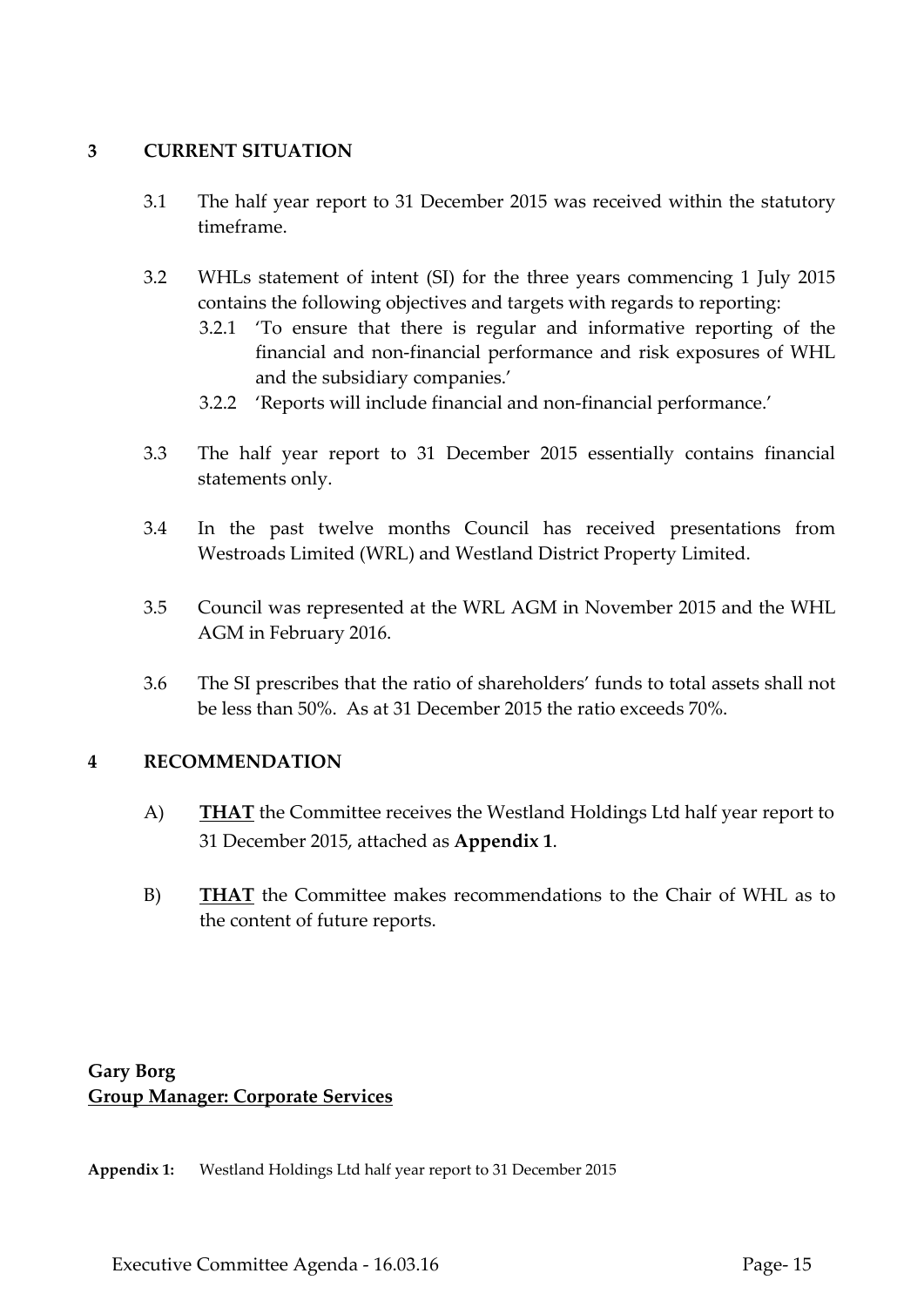# **3 CURRENT SITUATION**

- 3.1 The half year report to 31 December 2015 was received within the statutory timeframe.
- 3.2 WHLs statement of intent (SI) for the three years commencing 1 July 2015 contains the following objectives and targets with regards to reporting:
	- 3.2.1 'To ensure that there is regular and informative reporting of the financial and non-financial performance and risk exposures of WHL and the subsidiary companies.'
	- 3.2.2 'Reports will include financial and non-financial performance.'
- 3.3 The half year report to 31 December 2015 essentially contains financial statements only.
- 3.4 In the past twelve months Council has received presentations from Westroads Limited (WRL) and Westland District Property Limited.
- 3.5 Council was represented at the WRL AGM in November 2015 and the WHL AGM in February 2016.
- 3.6 The SI prescribes that the ratio of shareholders' funds to total assets shall not be less than 50%. As at 31 December 2015 the ratio exceeds 70%.

# **4 RECOMMENDATION**

- A) **THAT** the Committee receives the Westland Holdings Ltd half year report to 31 December 2015, attached as **Appendix 1**.
- B) **THAT** the Committee makes recommendations to the Chair of WHL as to the content of future reports.

# **Gary Borg Group Manager: Corporate Services**

**Appendix 1:** Westland Holdings Ltd half year report to 31 December 2015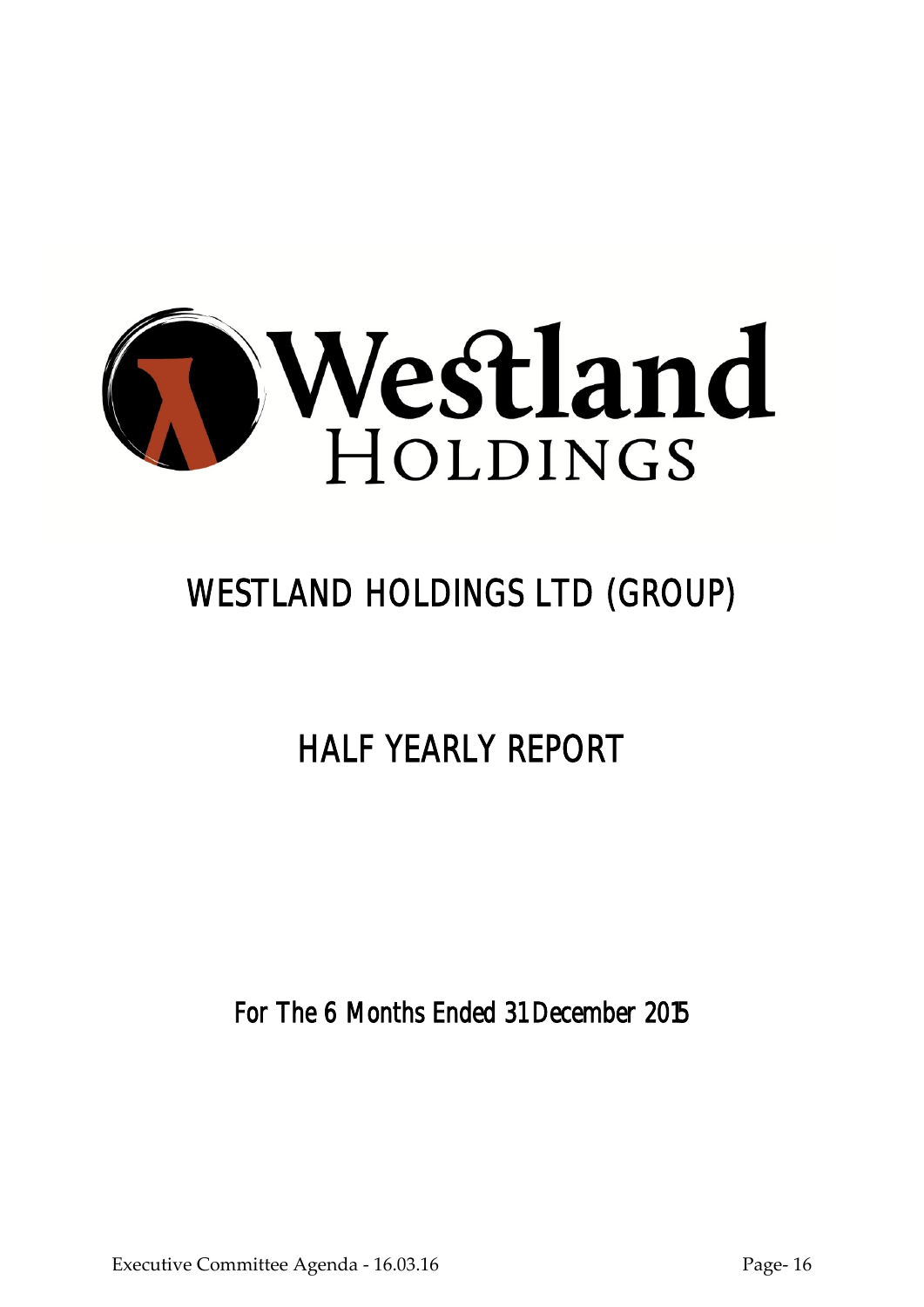

# WESTLAND HOLDINGS LTD (GROUP)

# HALF YEARLY REPORT

For The 6 Months Ended 31 December 2015

Executive Committee Agenda - 16.03.16 Page- 16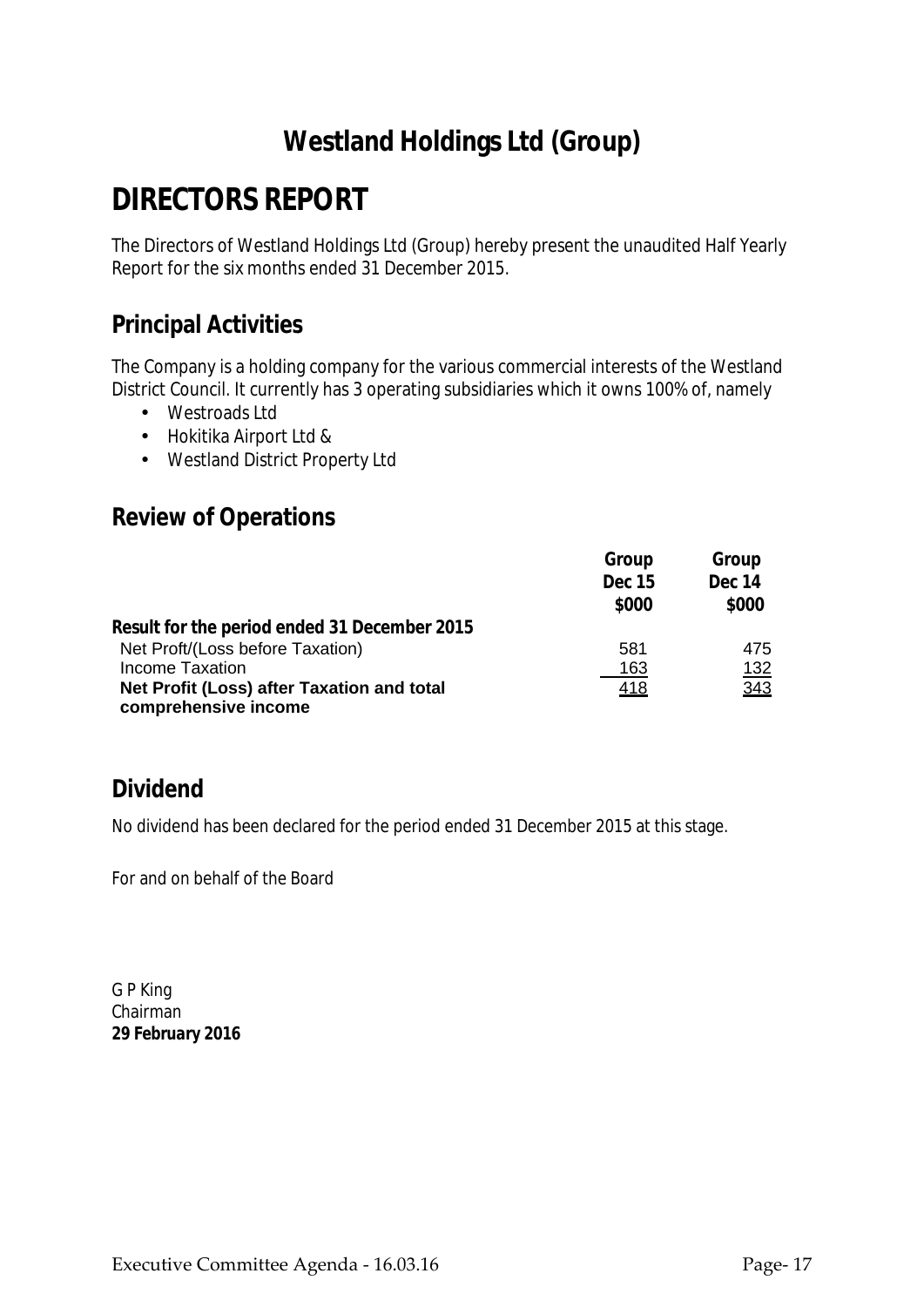# **DIRECTORS REPORT**

The Directors of Westland Holdings Ltd (Group) hereby present the unaudited Half Yearly Report for the six months ended 31 December 2015.

# **Principal Activities**

The Company is a holding company for the various commercial interests of the Westland District Council. It currently has 3 operating subsidiaries which it owns 100% of, namely

- Westroads Ltd
- Hokitika Airport Ltd &
- Westland District Property Ltd

# **Review of Operations**

|                                                                    | Group         | Group       |
|--------------------------------------------------------------------|---------------|-------------|
|                                                                    | <b>Dec 15</b> | Dec 14      |
|                                                                    | \$000         | \$000       |
| Result for the period ended 31 December 2015                       |               |             |
| Net Proft/(Loss before Taxation)                                   | 581           | 475         |
| Income Taxation                                                    | 163           | <u> 132</u> |
| Net Profit (Loss) after Taxation and total<br>comprehensive income | 418           | 343         |

# **Dividend**

No dividend has been declared for the period ended 31 December 2015 at this stage.

For and on behalf of the Board

G P King Chairman *29 February 2016*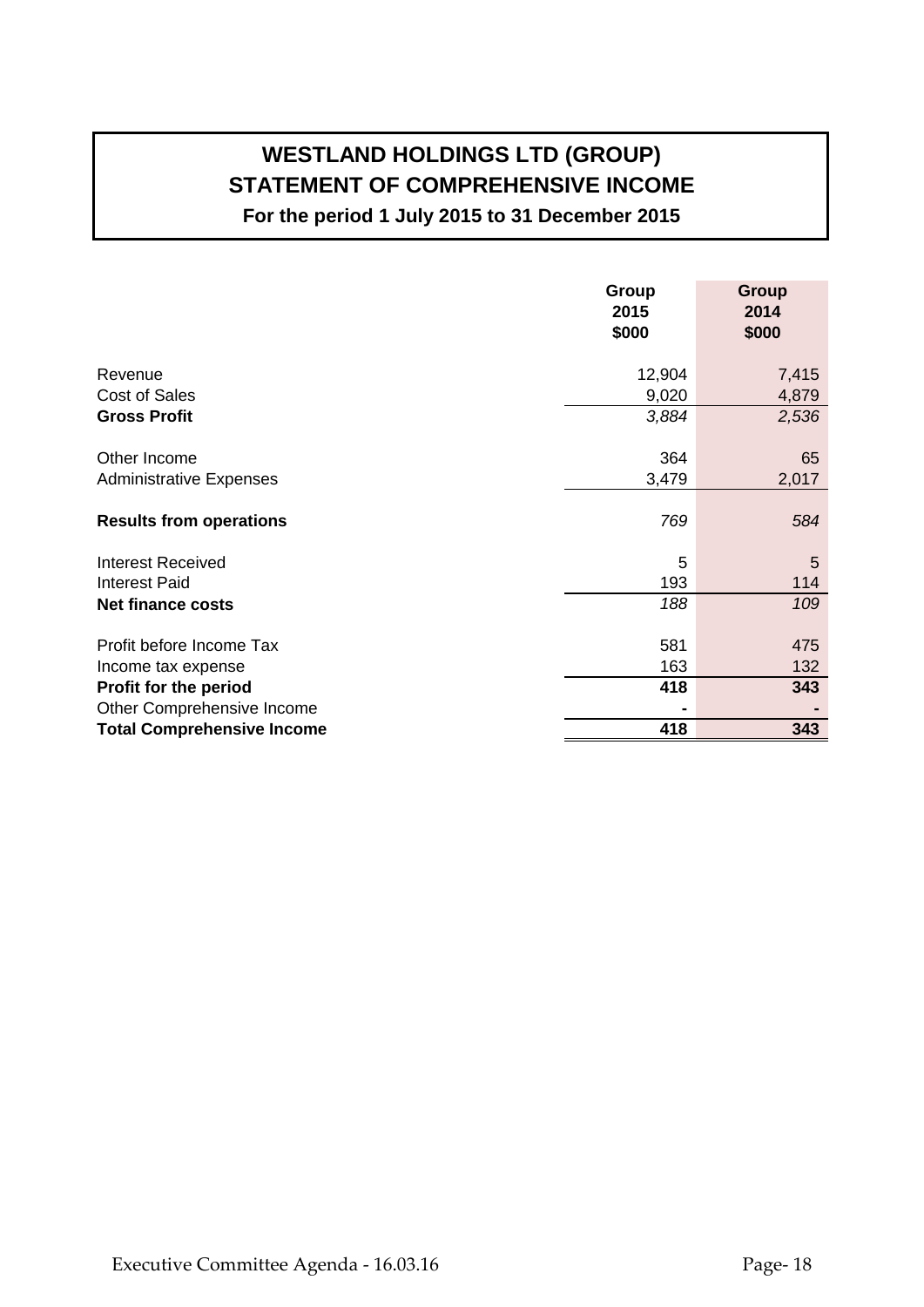# **WESTLAND HOLDINGS LTD (GROUP) STATEMENT OF COMPREHENSIVE INCOME For the period 1 July 2015 to 31 December 2015**

**Group Group 2015 2014 \$000 \$000** Revenue 7,415 Cost of Sales 4,879 **Gross Profit** *3,884 2,536* Other Income 65 Administrative Expenses 2,017 **Results from operations** *769 584* Interest Received 5 5 Interest Paid 114 **Net finance costs** *188 109* Profit before Income Tax 681 475 Income tax expense 163 132 **Profit for the period 418 343** Other Comprehensive Income **- - Total Comprehensive Income 418 343**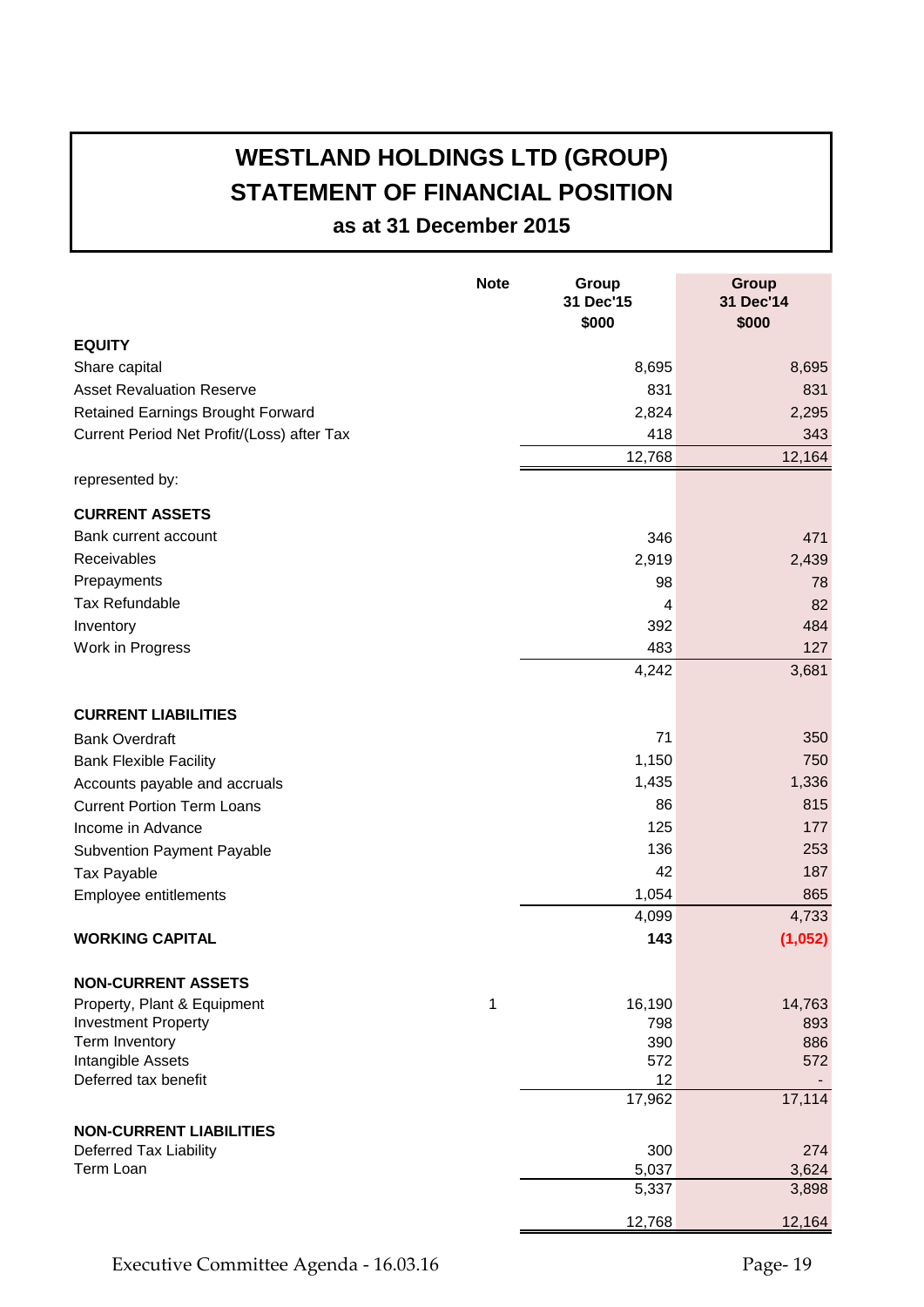# **WESTLAND HOLDINGS LTD (GROUP) STATEMENT OF FINANCIAL POSITION**

**as at 31 December 2015**

|                                            | <b>Note</b> | Group<br>31 Dec'15<br>\$000 | <b>Group</b><br>31 Dec'14<br>\$000 |
|--------------------------------------------|-------------|-----------------------------|------------------------------------|
| <b>EQUITY</b>                              |             |                             |                                    |
| Share capital                              |             | 8,695                       | 8,695                              |
| <b>Asset Revaluation Reserve</b>           |             | 831                         | 831                                |
| <b>Retained Earnings Brought Forward</b>   |             | 2,824                       | 2,295                              |
| Current Period Net Profit/(Loss) after Tax |             | 418                         | 343                                |
|                                            |             | 12,768                      | 12,164                             |
| represented by:                            |             |                             |                                    |
| <b>CURRENT ASSETS</b>                      |             |                             |                                    |
| Bank current account                       |             | 346                         | 471                                |
| Receivables                                |             | 2,919                       | 2,439                              |
| Prepayments                                |             | 98                          | 78                                 |
| <b>Tax Refundable</b>                      |             | 4                           | 82                                 |
| Inventory                                  |             | 392                         | 484                                |
| Work in Progress                           |             | 483                         | 127                                |
|                                            |             | 4,242                       | 3,681                              |
| <b>CURRENT LIABILITIES</b>                 |             |                             |                                    |
| <b>Bank Overdraft</b>                      |             | 71                          | 350                                |
| <b>Bank Flexible Facility</b>              |             | 1,150                       | 750                                |
| Accounts payable and accruals              |             | 1,435                       | 1,336                              |
| <b>Current Portion Term Loans</b>          |             | 86                          | 815                                |
| Income in Advance                          |             | 125                         | 177                                |
| <b>Subvention Payment Payable</b>          |             | 136                         | 253                                |
| Tax Payable                                |             | 42                          | 187                                |
| Employee entitlements                      |             | 1,054                       | 865                                |
|                                            |             | 4,099                       | 4,733                              |
| <b>WORKING CAPITAL</b>                     |             | 143                         | (1,052)                            |
| <b>NON-CURRENT ASSETS</b>                  |             |                             |                                    |
| Property, Plant & Equipment                | 1           | 16,190                      | 14,763                             |
| <b>Investment Property</b>                 |             | 798                         | 893                                |
| Term Inventory                             |             | 390                         | 886                                |
| Intangible Assets<br>Deferred tax benefit  |             | 572<br>12                   | 572                                |
|                                            |             | 17,962                      | 17,114                             |
| <b>NON-CURRENT LIABILITIES</b>             |             |                             |                                    |
| Deferred Tax Liability                     |             | 300                         | 274                                |
| Term Loan                                  |             | 5,037                       | 3,624                              |
|                                            |             | 5,337                       | 3,898                              |
|                                            |             | 12,768                      | 12,164                             |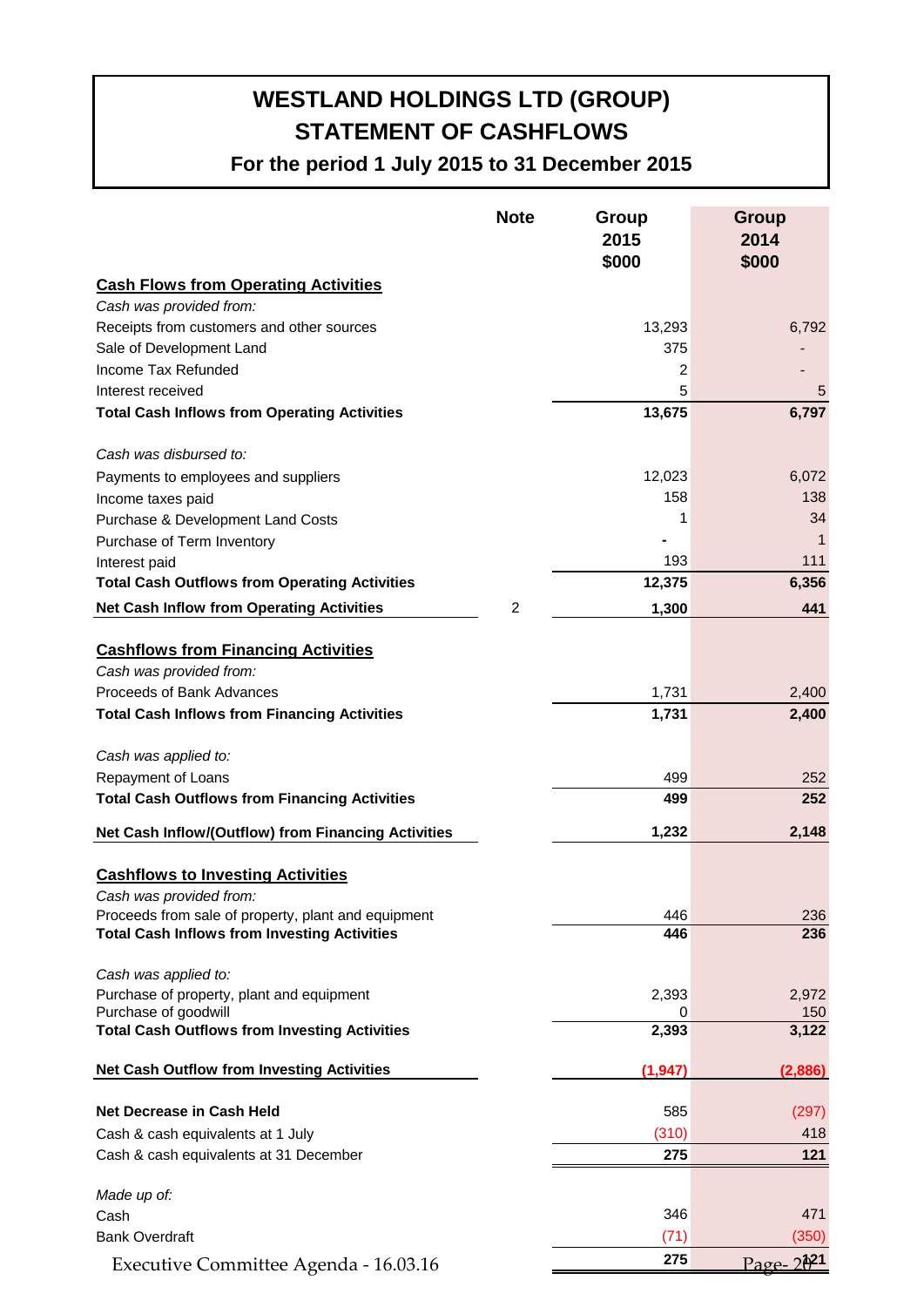# **WESTLAND HOLDINGS LTD (GROUP) STATEMENT OF CASHFLOWS**

**For the period 1 July 2015 to 31 December 2015**

|                                                                       | <b>Note</b> | Group<br>2015<br>\$000 | Group<br>2014<br>\$000 |
|-----------------------------------------------------------------------|-------------|------------------------|------------------------|
| <b>Cash Flows from Operating Activities</b>                           |             |                        |                        |
| Cash was provided from:                                               |             |                        |                        |
| Receipts from customers and other sources                             |             | 13,293                 | 6,792                  |
| Sale of Development Land                                              |             | 375                    |                        |
| Income Tax Refunded                                                   |             | 2                      |                        |
| Interest received                                                     |             | 5                      | 5                      |
| <b>Total Cash Inflows from Operating Activities</b>                   |             | 13,675                 | 6,797                  |
| Cash was disbursed to:                                                |             |                        |                        |
| Payments to employees and suppliers                                   |             | 12,023                 | 6,072                  |
| Income taxes paid                                                     |             | 158                    | 138                    |
| Purchase & Development Land Costs                                     |             | 1                      | 34                     |
| Purchase of Term Inventory                                            |             |                        | 1                      |
| Interest paid                                                         |             | 193                    | 111                    |
| <b>Total Cash Outflows from Operating Activities</b>                  |             | 12,375                 | 6,356                  |
| <b>Net Cash Inflow from Operating Activities</b>                      | 2           | 1,300                  | 441                    |
| <b>Cashflows from Financing Activities</b><br>Cash was provided from: |             |                        |                        |
| Proceeds of Bank Advances                                             |             | 1,731                  | 2,400                  |
| <b>Total Cash Inflows from Financing Activities</b>                   |             | 1,731                  | 2,400                  |
|                                                                       |             |                        |                        |
| Cash was applied to:                                                  |             |                        |                        |
| Repayment of Loans                                                    |             | 499                    | 252                    |
| <b>Total Cash Outflows from Financing Activities</b>                  |             | 499                    | 252                    |
| Net Cash Inflow/(Outflow) from Financing Activities                   |             | 1,232                  | 2,148                  |
| <b>Cashflows to Investing Activities</b><br>Cash was provided from:   |             |                        |                        |
| Proceeds from sale of property, plant and equipment                   |             | 446                    | 236                    |
| <b>Total Cash Inflows from Investing Activities</b>                   |             | 446                    | 236                    |
| Cash was applied to:<br>Purchase of property, plant and equipment     |             | 2,393                  | 2,972                  |
| Purchase of goodwill                                                  |             | 0                      | 150 <sub>2</sub>       |
| <b>Total Cash Outflows from Investing Activities</b>                  |             | 2,393                  | 3,122                  |
| <b>Net Cash Outflow from Investing Activities</b>                     |             | (1, 947)               | (2,886)                |
| <b>Net Decrease in Cash Held</b>                                      |             | 585                    | (297)                  |
| Cash & cash equivalents at 1 July                                     |             | (310)                  | 418                    |
| Cash & cash equivalents at 31 December                                |             | 275                    | 121                    |
| Made up of:                                                           |             |                        |                        |
| Cash                                                                  |             | 346                    | 471                    |
| <b>Bank Overdraft</b>                                                 |             | (71)                   | (350)                  |
| Executive Committee Agenda - 16.03.16                                 |             | 275                    | $20^{21}$<br>$Page-$   |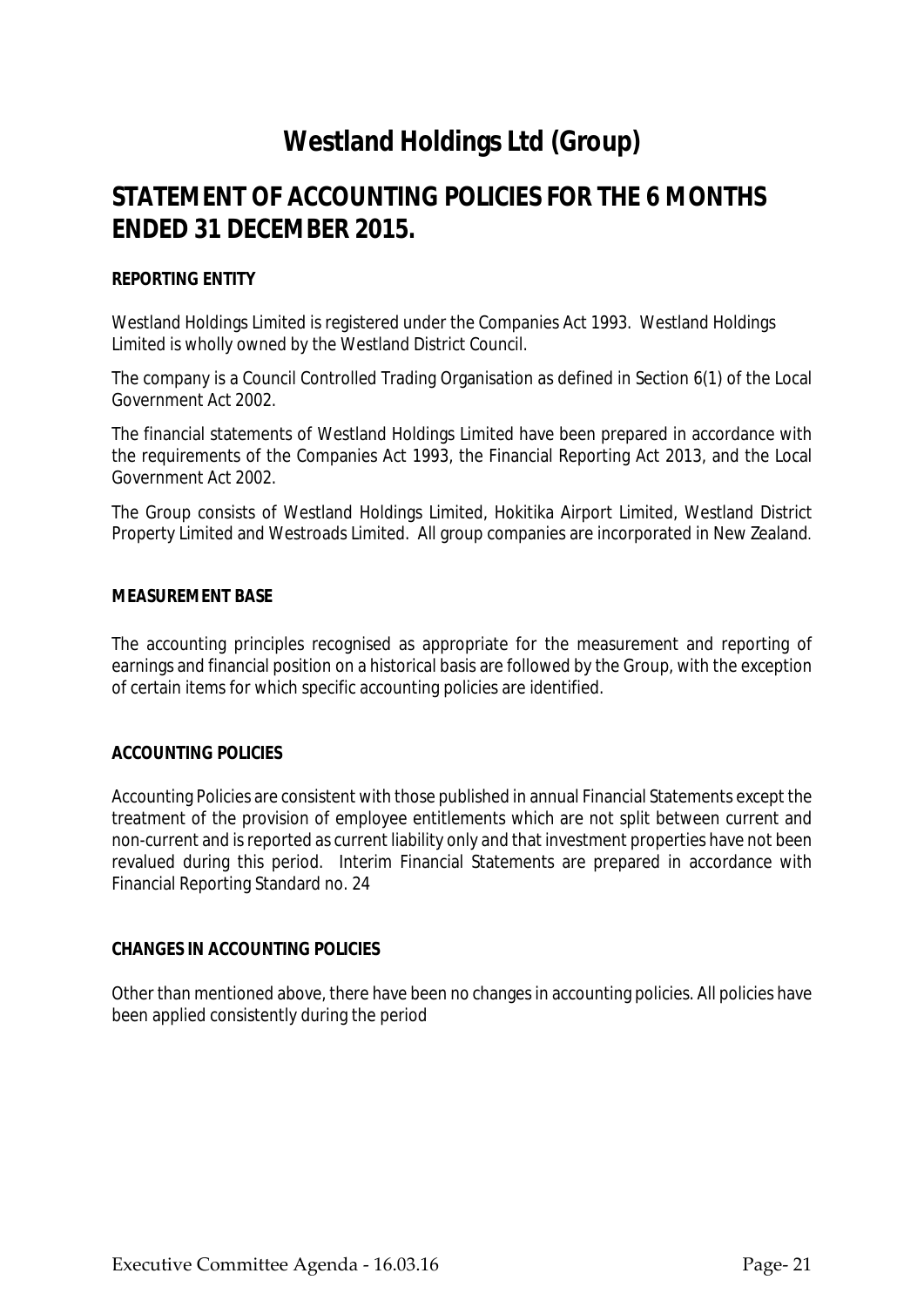# **STATEMENT OF ACCOUNTING POLICIES FOR THE 6 MONTHS ENDED 31 DECEMBER 2015.**

# *REPORTING ENTITY*

Westland Holdings Limited is registered under the Companies Act 1993. Westland Holdings Limited is wholly owned by the Westland District Council.

The company is a Council Controlled Trading Organisation as defined in Section 6(1) of the Local Government Act 2002.

The financial statements of Westland Holdings Limited have been prepared in accordance with the requirements of the Companies Act 1993, the Financial Reporting Act 2013, and the Local Government Act 2002.

The Group consists of Westland Holdings Limited, Hokitika Airport Limited, Westland District Property Limited and Westroads Limited. All group companies are incorporated in New Zealand.

#### *MEASUREMENT BASE*

The accounting principles recognised as appropriate for the measurement and reporting of earnings and financial position on a historical basis are followed by the Group, with the exception of certain items for which specific accounting policies are identified.

#### *ACCOUNTING POLICIES*

Accounting Policies are consistent with those published in annual Financial Statements except the treatment of the provision of employee entitlements which are not split between current and non-current and isreported as current liability only and that investment properties have not been revalued during this period. Interim Financial Statements are prepared in accordance with Financial Reporting Standard no. 24

#### **CHANGES IN ACCOUNTING POLICIES**

Other than mentioned above, there have been no changes in accounting policies. All policies have been applied consistently during the period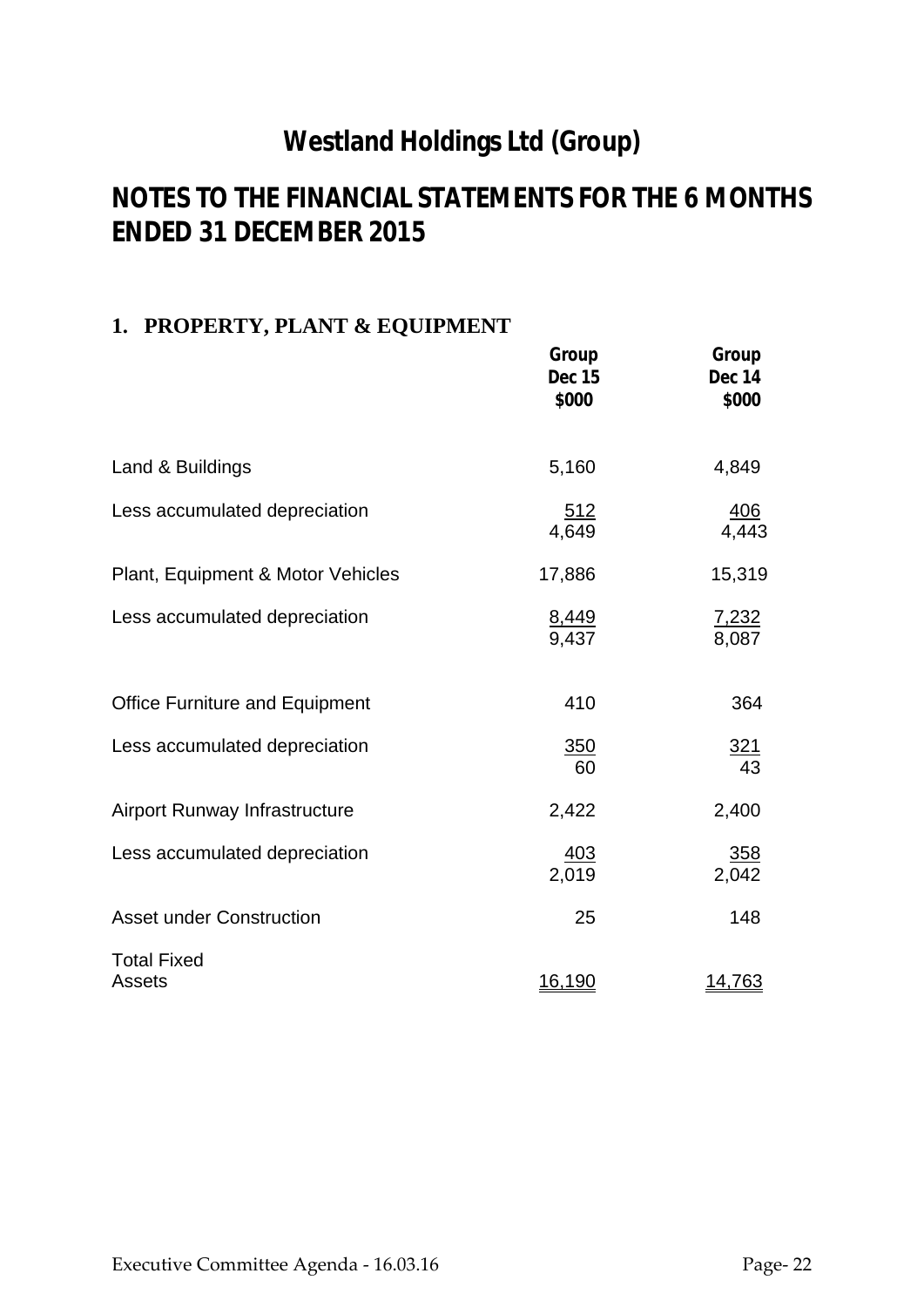# **NOTES TO THE FINANCIAL STATEMENTS FOR THE 6 MONTHS ENDED 31 DECEMBER 2015**

# **1. PROPERTY, PLANT & EQUIPMENT**

|                                       | Group<br><b>Dec 15</b><br>\$000 | Group<br>Dec 14<br>\$000 |
|---------------------------------------|---------------------------------|--------------------------|
| Land & Buildings                      | 5,160                           | 4,849                    |
| Less accumulated depreciation         | <u>512</u><br>4,649             | $\frac{406}{4,443}$      |
| Plant, Equipment & Motor Vehicles     | 17,886                          | 15,319                   |
| Less accumulated depreciation         | $\frac{8,449}{9,437}$           | 7,232<br>8,087           |
| <b>Office Furniture and Equipment</b> | 410                             | 364                      |
| Less accumulated depreciation         | 350<br>60                       | $\frac{321}{43}$         |
| <b>Airport Runway Infrastructure</b>  | 2,422                           | 2,400                    |
| Less accumulated depreciation         | <u>403</u><br>2,019             | <u>358</u><br>2,042      |
| <b>Asset under Construction</b>       | 25                              | 148                      |
| <b>Total Fixed</b><br><b>Assets</b>   | <u>16,190</u>                   | <u>14,763</u>            |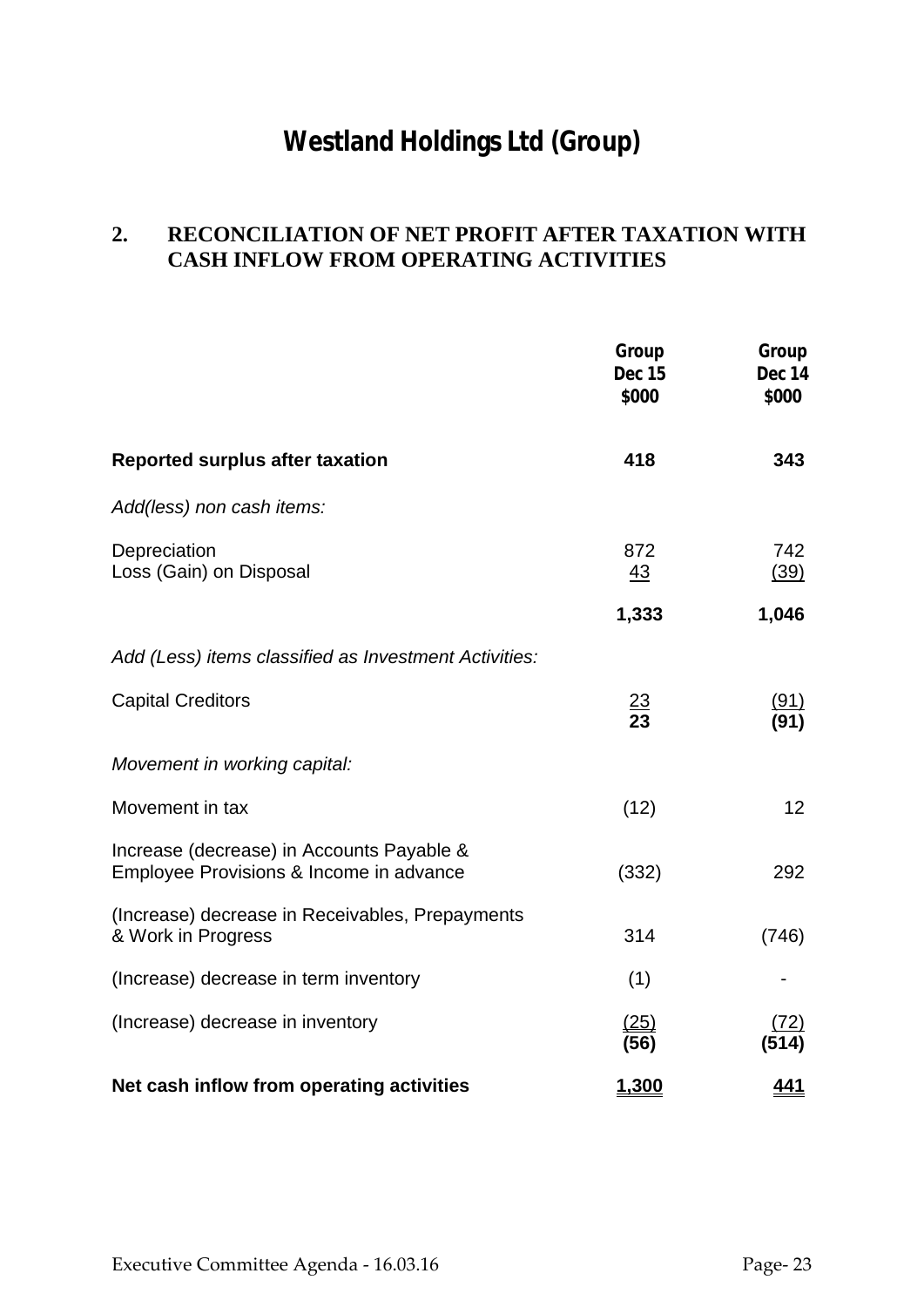# **2. RECONCILIATION OF NET PROFIT AFTER TAXATION WITH CASH INFLOW FROM OPERATING ACTIVITIES**

|                                                                                      | Group<br><b>Dec 15</b><br>\$000 | Group<br>Dec 14<br>\$000 |
|--------------------------------------------------------------------------------------|---------------------------------|--------------------------|
| <b>Reported surplus after taxation</b>                                               | 418                             | 343                      |
| Add(less) non cash items:                                                            |                                 |                          |
| Depreciation<br>Loss (Gain) on Disposal                                              | 872<br><u>43</u>                | 742<br>(39)              |
|                                                                                      | 1,333                           | 1,046                    |
| Add (Less) items classified as Investment Activities:                                |                                 |                          |
| <b>Capital Creditors</b>                                                             | $\frac{23}{23}$                 | (91)<br>(91)             |
| Movement in working capital:                                                         |                                 |                          |
| Movement in tax                                                                      | (12)                            | 12                       |
| Increase (decrease) in Accounts Payable &<br>Employee Provisions & Income in advance | (332)                           | 292                      |
| (Increase) decrease in Receivables, Prepayments<br>& Work in Progress                | 314                             | (746)                    |
| (Increase) decrease in term inventory                                                | (1)                             |                          |
| (Increase) decrease in inventory                                                     | (25)<br>(56)                    | <u>72)</u><br>(514)      |
| Net cash inflow from operating activities                                            | 1,300                           | <u>441</u>               |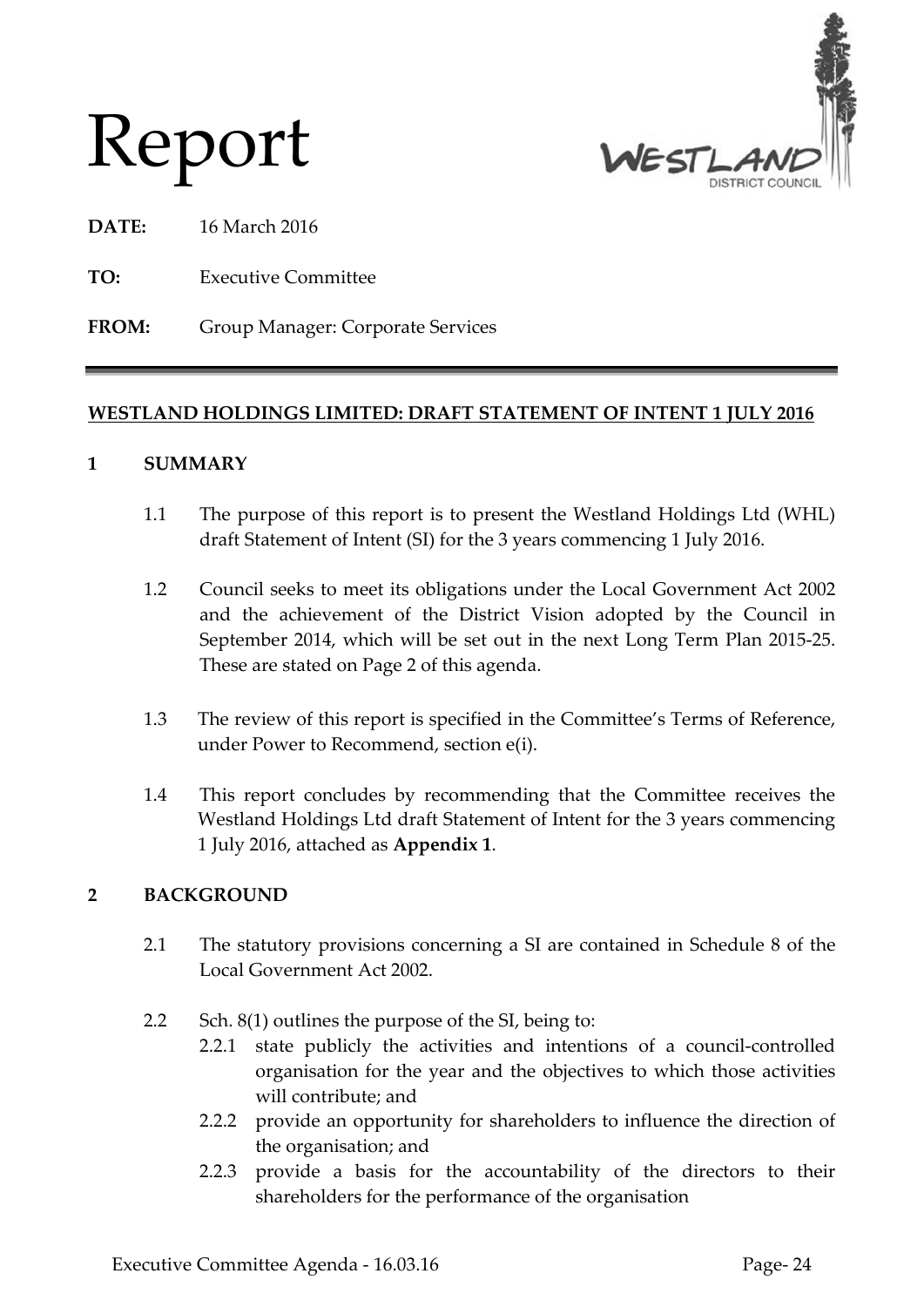



**DATE:** 16 March 2016

**TO:** Executive Committee

**FROM:** Group Manager: Corporate Services

# **WESTLAND HOLDINGS LIMITED: DRAFT STATEMENT OF INTENT 1 JULY 2016**

# **1 SUMMARY**

- 1.1 The purpose of this report is to present the Westland Holdings Ltd (WHL) draft Statement of Intent (SI) for the 3 years commencing 1 July 2016.
- 1.2 Council seeks to meet its obligations under the Local Government Act 2002 and the achievement of the District Vision adopted by the Council in September 2014, which will be set out in the next Long Term Plan 2015-25. These are stated on Page 2 of this agenda.
- 1.3 The review of this report is specified in the Committee's Terms of Reference, under Power to Recommend, section e(i).
- 1.4 This report concludes by recommending that the Committee receives the Westland Holdings Ltd draft Statement of Intent for the 3 years commencing 1 July 2016, attached as **Appendix 1**.

# **2 BACKGROUND**

- 2.1 The statutory provisions concerning a SI are contained in Schedule 8 of the Local Government Act 2002.
- 2.2 Sch. 8(1) outlines the purpose of the SI, being to:
	- 2.2.1 state publicly the activities and intentions of a council-controlled organisation for the year and the objectives to which those activities will contribute; and
	- 2.2.2 provide an opportunity for shareholders to influence the direction of the organisation; and
	- 2.2.3 provide a basis for the accountability of the directors to their shareholders for the performance of the organisation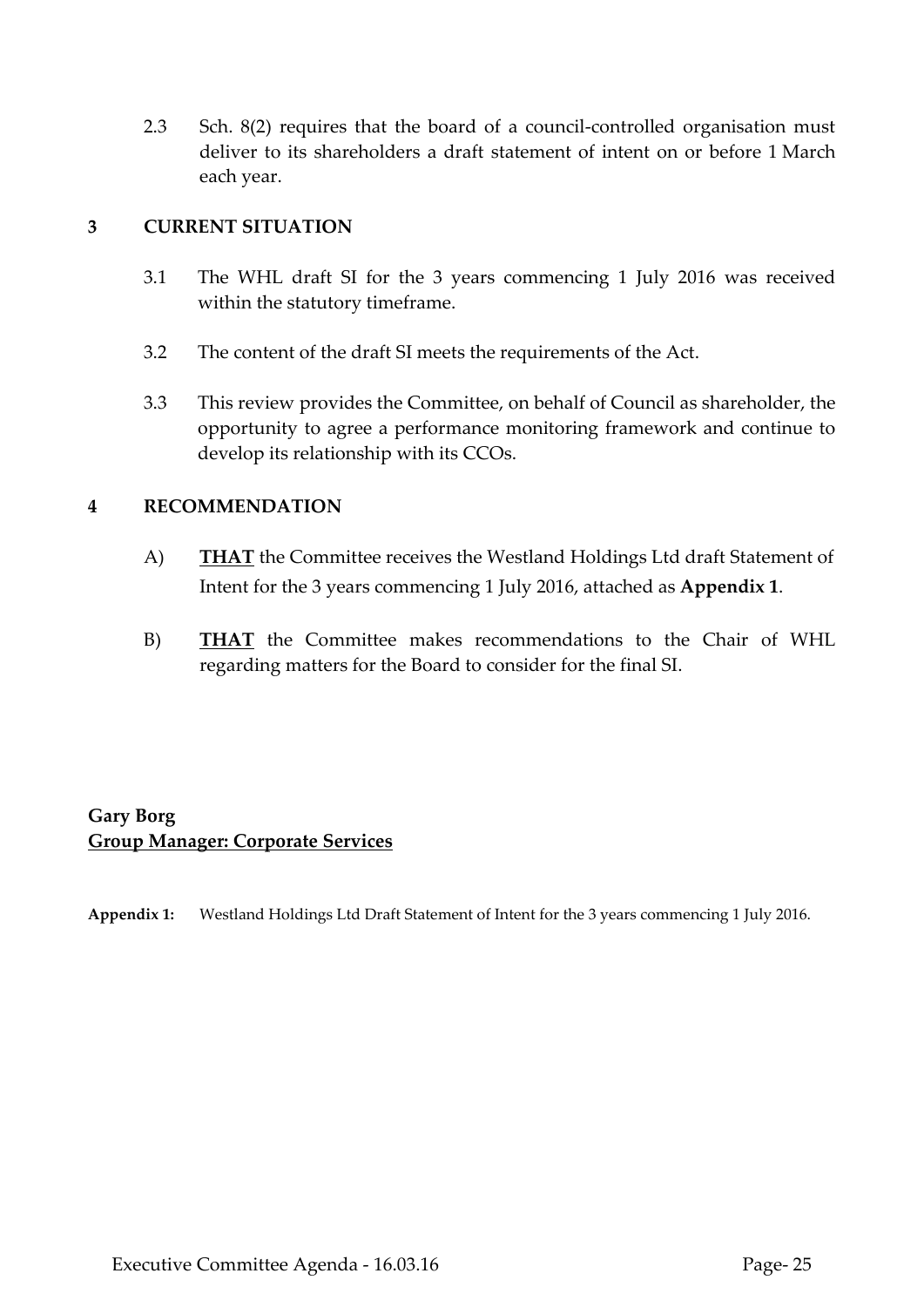2.3 Sch. 8(2) requires that the board of a council-controlled organisation must deliver to its shareholders a draft statement of intent on or before 1 March each year.

# **3 CURRENT SITUATION**

- 3.1 The WHL draft SI for the 3 years commencing 1 July 2016 was received within the statutory timeframe.
- 3.2 The content of the draft SI meets the requirements of the Act.
- 3.3 This review provides the Committee, on behalf of Council as shareholder, the opportunity to agree a performance monitoring framework and continue to develop its relationship with its CCOs.

# **4 RECOMMENDATION**

- A) **THAT** the Committee receives the Westland Holdings Ltd draft Statement of Intent for the 3 years commencing 1 July 2016, attached as **Appendix 1**.
- B) **THAT** the Committee makes recommendations to the Chair of WHL regarding matters for the Board to consider for the final SI.

# **Gary Borg Group Manager: Corporate Services**

**Appendix 1:** Westland Holdings Ltd Draft Statement of Intent for the 3 years commencing 1 July 2016.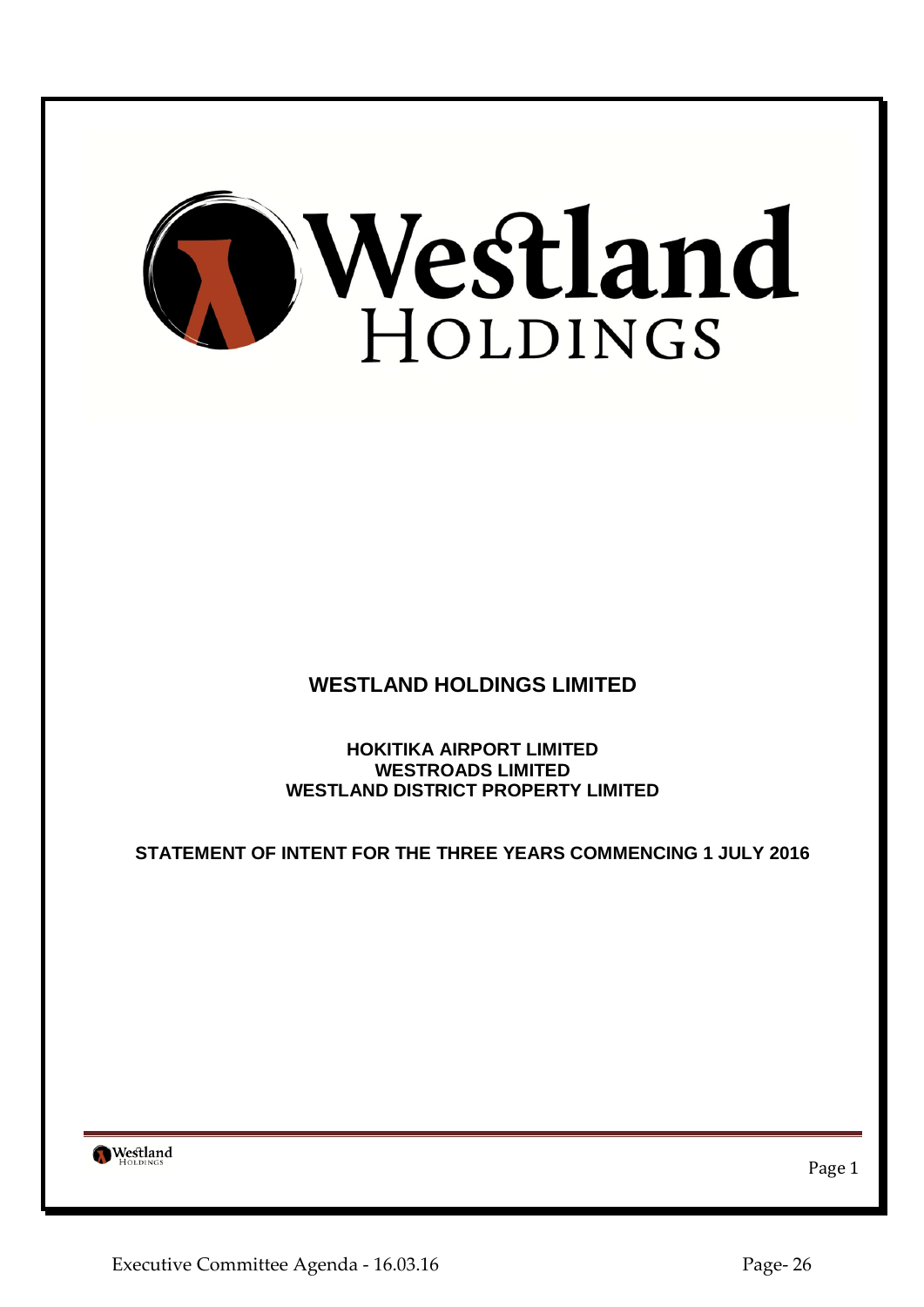

**WESTLAND HOLDINGS LIMITED**

**HOKITIKA AIRPORT LIMITED WESTROADS LIMITED WESTLAND DISTRICT PROPERTY LIMITED**

**STATEMENT OF INTENT FOR THE THREE YEARS COMMENCING 1 JULY 2016**

Westland

Page 1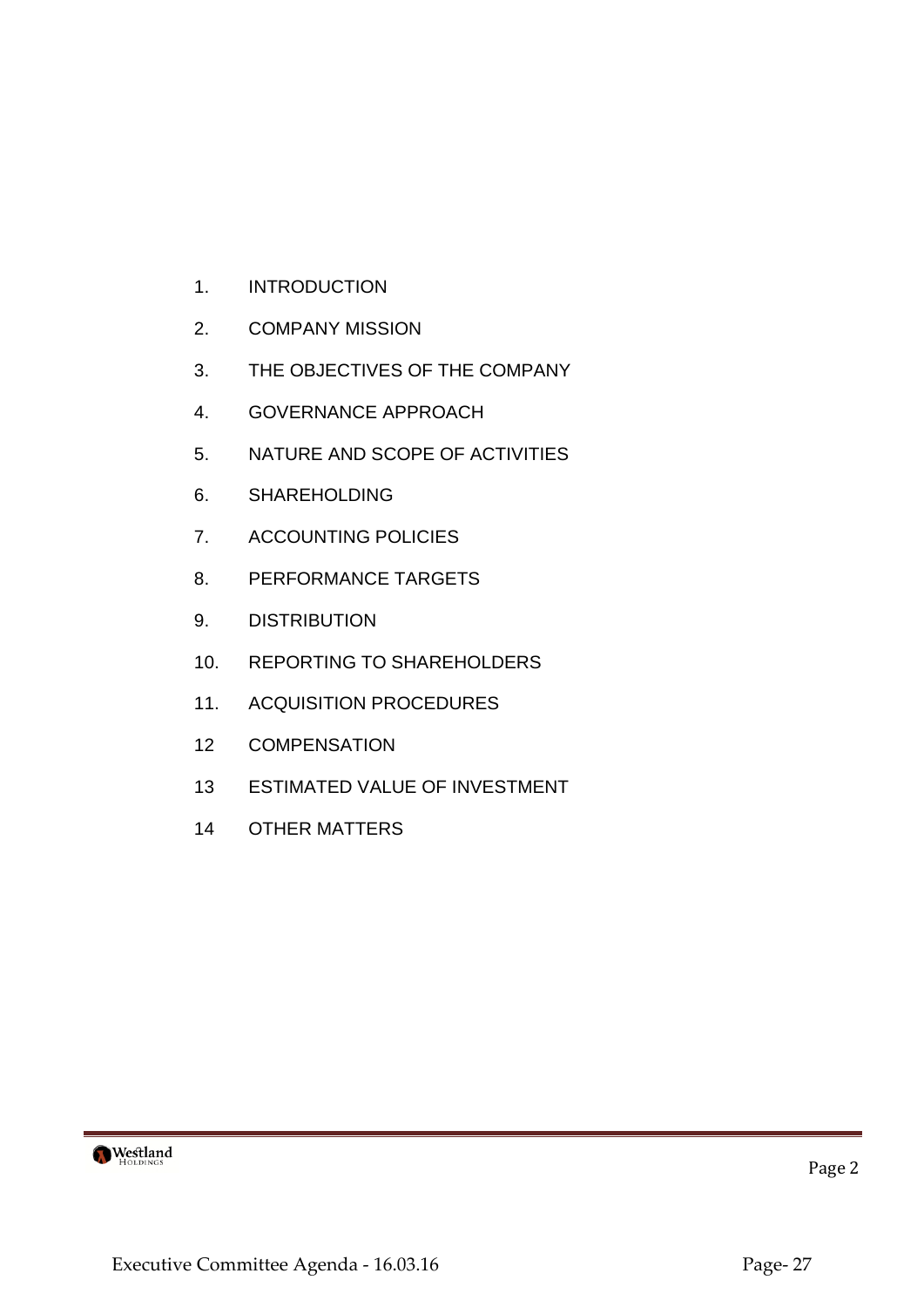- 1. INTRODUCTION
- 2. COMPANY MISSION
- 3. THE OBJECTIVES OF THE COMPANY
- 4. GOVERNANCE APPROACH
- 5. NATURE AND SCOPE OF ACTIVITIES
- 6. SHAREHOLDING
- 7. ACCOUNTING POLICIES
- 8. PERFORMANCE TARGETS
- 9. DISTRIBUTION
- 10. REPORTING TO SHAREHOLDERS
- 11. ACQUISITION PROCEDURES
- 12 COMPENSATION
- 13 ESTIMATED VALUE OF INVESTMENT
- 14 OTHER MATTERS



Page 2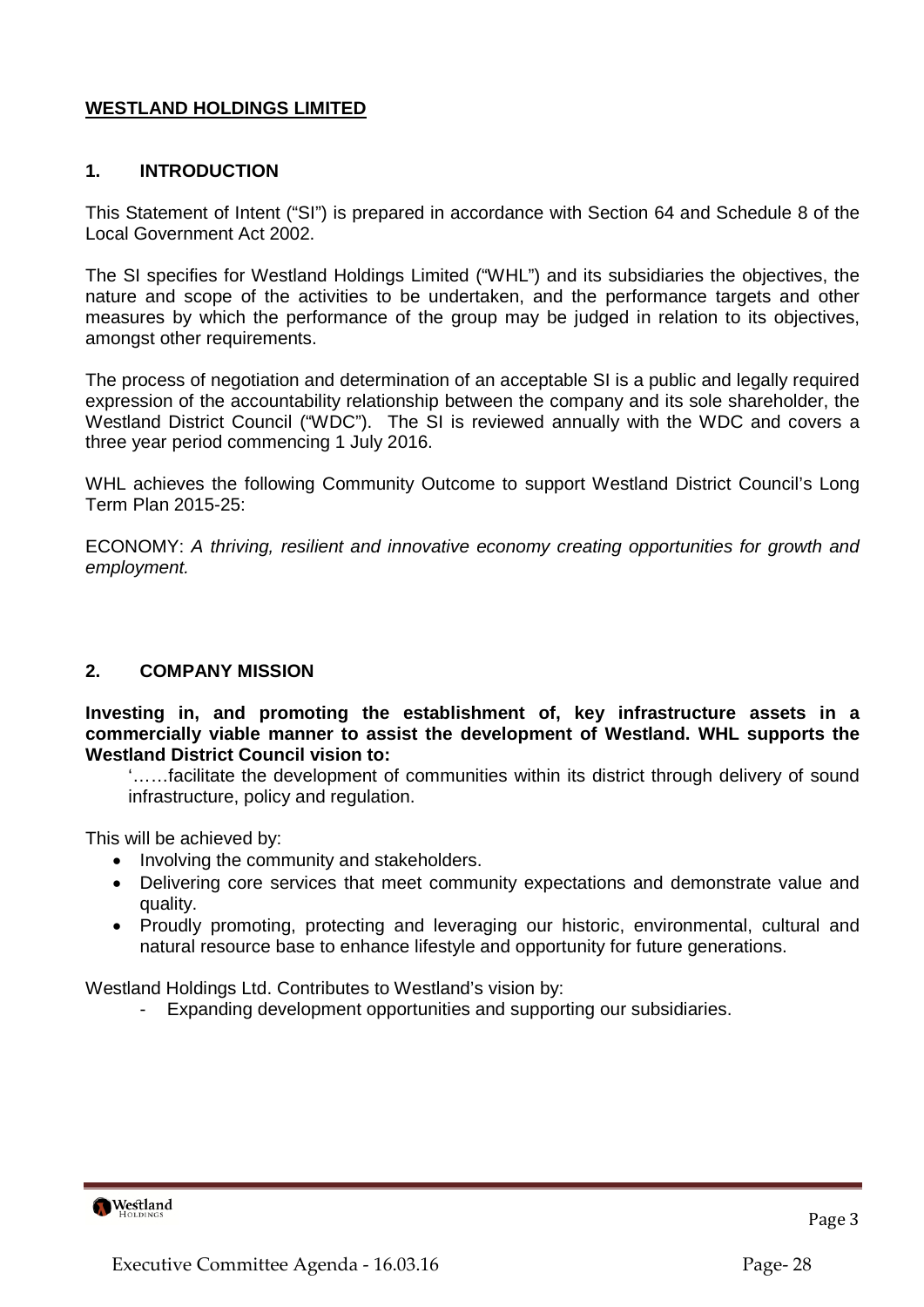# **WESTLAND HOLDINGS LIMITED**

# **1. INTRODUCTION**

This Statement of Intent ("SI") is prepared in accordance with Section 64 and Schedule 8 of the Local Government Act 2002.

The SI specifies for Westland Holdings Limited ("WHL") and its subsidiaries the objectives, the nature and scope of the activities to be undertaken, and the performance targets and other measures by which the performance of the group may be judged in relation to its objectives, amongst other requirements.

The process of negotiation and determination of an acceptable SI is a public and legally required expression of the accountability relationship between the company and its sole shareholder, the Westland District Council ("WDC"). The SI is reviewed annually with the WDC and covers a three year period commencing 1 July 2016.

WHL achieves the following Community Outcome to support Westland District Council's Long Term Plan 2015-25:

ECONOMY: *A thriving, resilient and innovative economy creating opportunities for growth and employment.*

#### **2. COMPANY MISSION**

**Investing in, and promoting the establishment of, key infrastructure assets in a commercially viable manner to assist the development of Westland. WHL supports the Westland District Council vision to:**

'……facilitate the development of communities within its district through delivery of sound infrastructure, policy and regulation.

This will be achieved by:

- Involving the community and stakeholders.
- Delivering core services that meet community expectations and demonstrate value and quality.
- Proudly promoting, protecting and leveraging our historic, environmental, cultural and natural resource base to enhance lifestyle and opportunity for future generations.

Westland Holdings Ltd. Contributes to Westland's vision by:

Expanding development opportunities and supporting our subsidiaries.

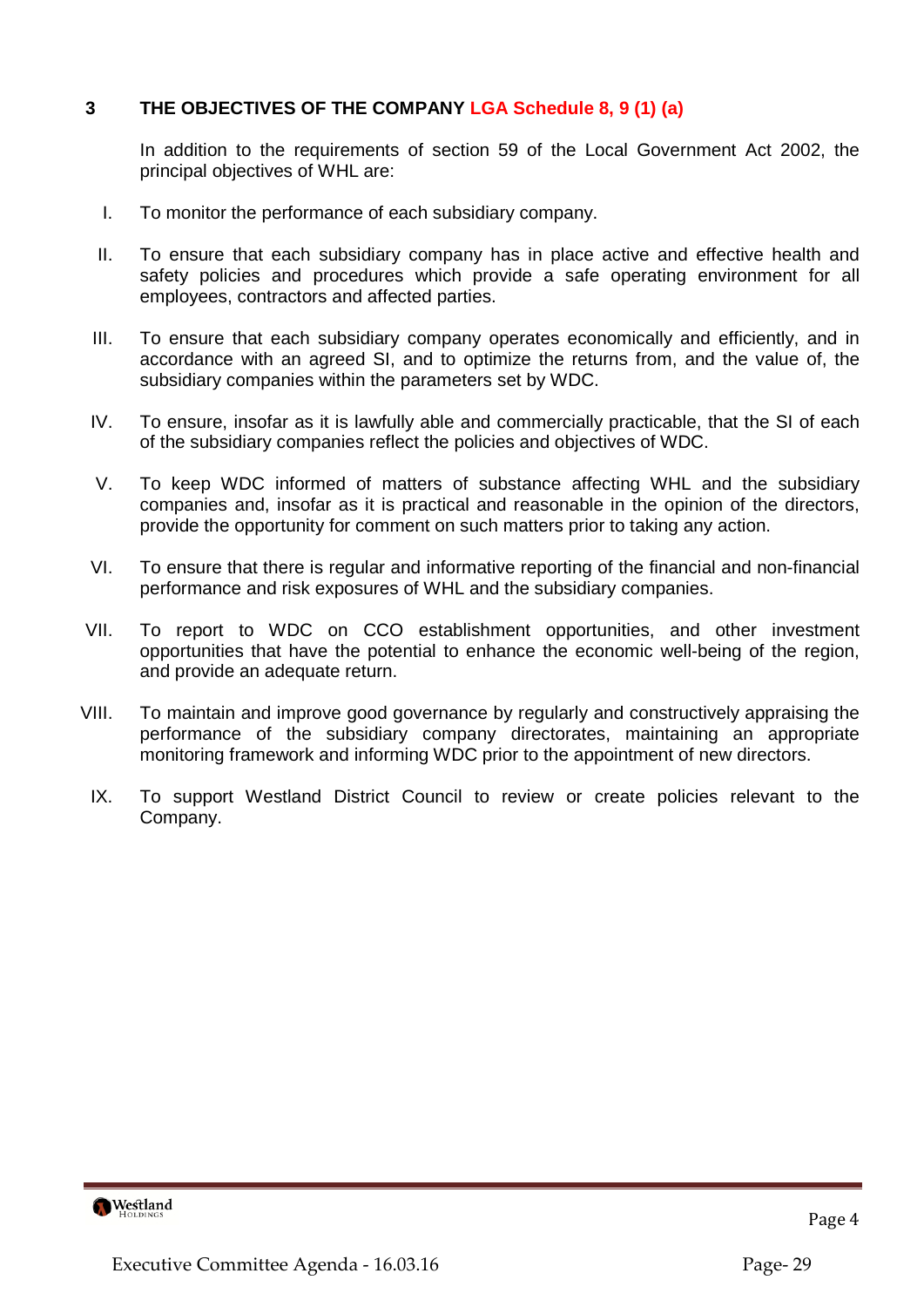# **3 THE OBJECTIVES OF THE COMPANY LGA Schedule 8, 9 (1) (a)**

In addition to the requirements of section 59 of the Local Government Act 2002, the principal objectives of WHL are:

- I. To monitor the performance of each subsidiary company.
- II. To ensure that each subsidiary company has in place active and effective health and safety policies and procedures which provide a safe operating environment for all employees, contractors and affected parties.
- III. To ensure that each subsidiary company operates economically and efficiently, and in accordance with an agreed SI, and to optimize the returns from, and the value of, the subsidiary companies within the parameters set by WDC.
- IV. To ensure, insofar as it is lawfully able and commercially practicable, that the SI of each of the subsidiary companies reflect the policies and objectives of WDC.
- V. To keep WDC informed of matters of substance affecting WHL and the subsidiary companies and, insofar as it is practical and reasonable in the opinion of the directors, provide the opportunity for comment on such matters prior to taking any action.
- VI. To ensure that there is regular and informative reporting of the financial and non-financial performance and risk exposures of WHL and the subsidiary companies.
- VII. To report to WDC on CCO establishment opportunities, and other investment opportunities that have the potential to enhance the economic well-being of the region, and provide an adequate return.
- VIII. To maintain and improve good governance by regularly and constructively appraising the performance of the subsidiary company directorates, maintaining an appropriate monitoring framework and informing WDC prior to the appointment of new directors.
- IX. To support Westland District Council to review or create policies relevant to the Company.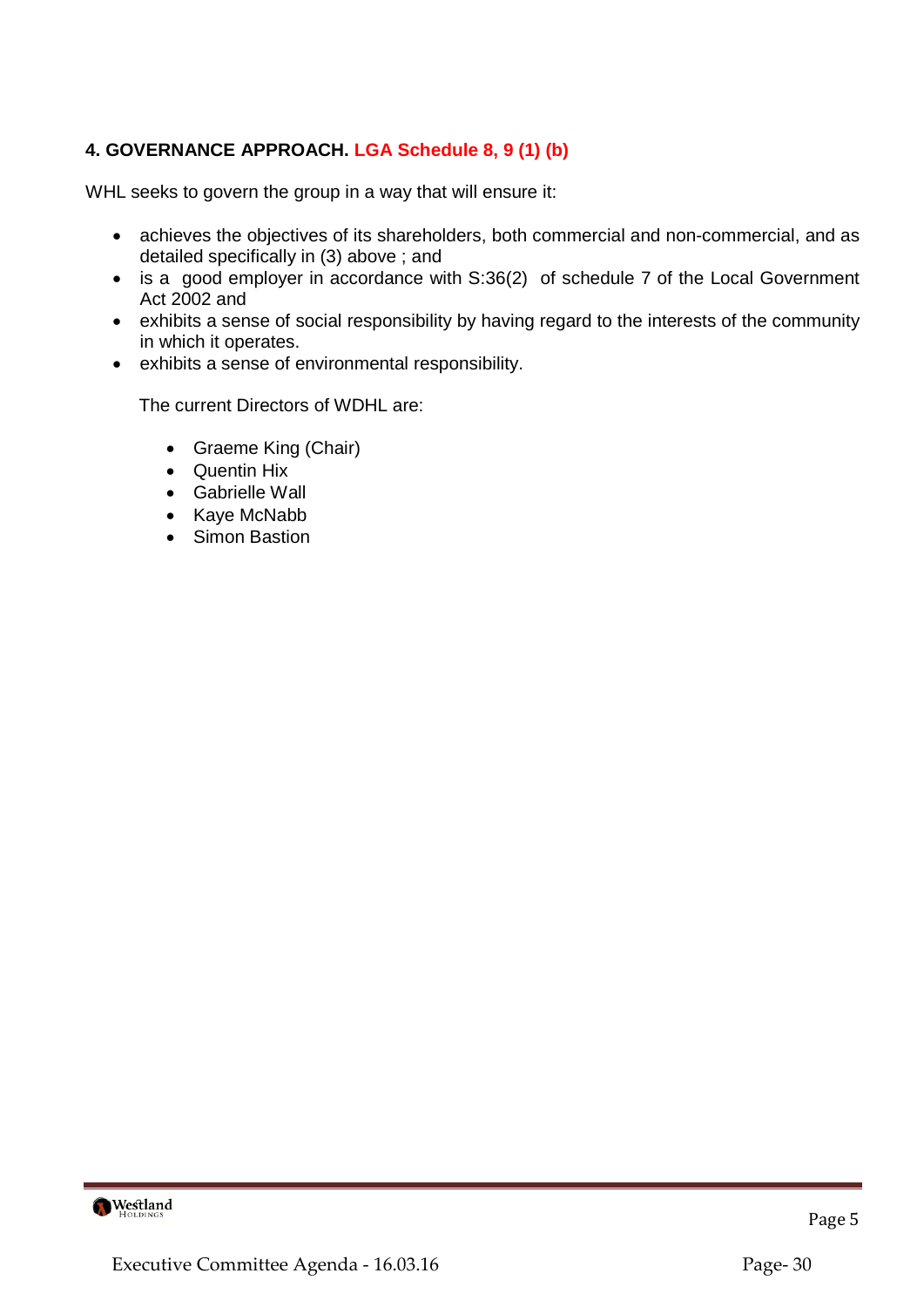# **4. GOVERNANCE APPROACH. LGA Schedule 8, 9 (1) (b)**

WHL seeks to govern the group in a way that will ensure it:

- achieves the objectives of its shareholders, both commercial and non-commercial, and as detailed specifically in (3) above ; and
- is a good employer in accordance with S:36(2) of schedule 7 of the Local Government Act 2002 and
- exhibits a sense of social responsibility by having regard to the interests of the community in which it operates.
- exhibits a sense of environmental responsibility.

The current Directors of WDHL are:

- Graeme King (Chair)
- Quentin Hix
- Gabrielle Wall
- Kaye McNabb
- Simon Bastion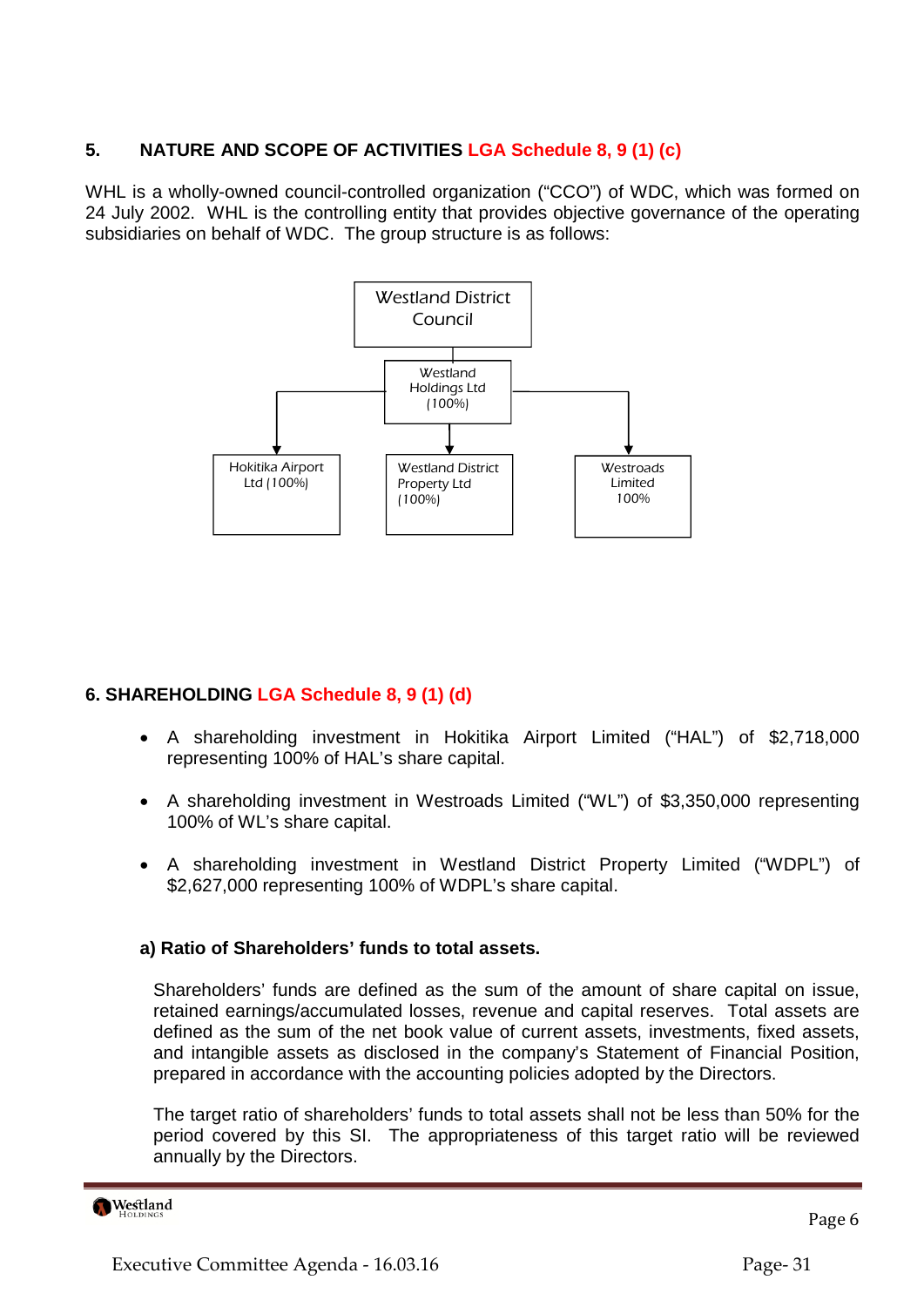# **5. NATURE AND SCOPE OF ACTIVITIES LGA Schedule 8, 9 (1) (c)**

WHL is a wholly-owned council-controlled organization ("CCO") of WDC, which was formed on 24 July 2002. WHL is the controlling entity that provides objective governance of the operating subsidiaries on behalf of WDC. The group structure is as follows:



# **6. SHAREHOLDING LGA Schedule 8, 9 (1) (d)**

- A shareholding investment in Hokitika Airport Limited ("HAL") of \$2,718,000 representing 100% of HAL's share capital.
- A shareholding investment in Westroads Limited ("WL") of \$3,350,000 representing 100% of WL's share capital.
- A shareholding investment in Westland District Property Limited ("WDPL") of \$2,627,000 representing 100% of WDPL's share capital.

# **a) Ratio of Shareholders' funds to total assets.**

Shareholders' funds are defined as the sum of the amount of share capital on issue, retained earnings/accumulated losses, revenue and capital reserves. Total assets are defined as the sum of the net book value of current assets, investments, fixed assets, and intangible assets as disclosed in the company's Statement of Financial Position, prepared in accordance with the accounting policies adopted by the Directors.

The target ratio of shareholders' funds to total assets shall not be less than 50% for the period covered by this SI. The appropriateness of this target ratio will be reviewed annually by the Directors.

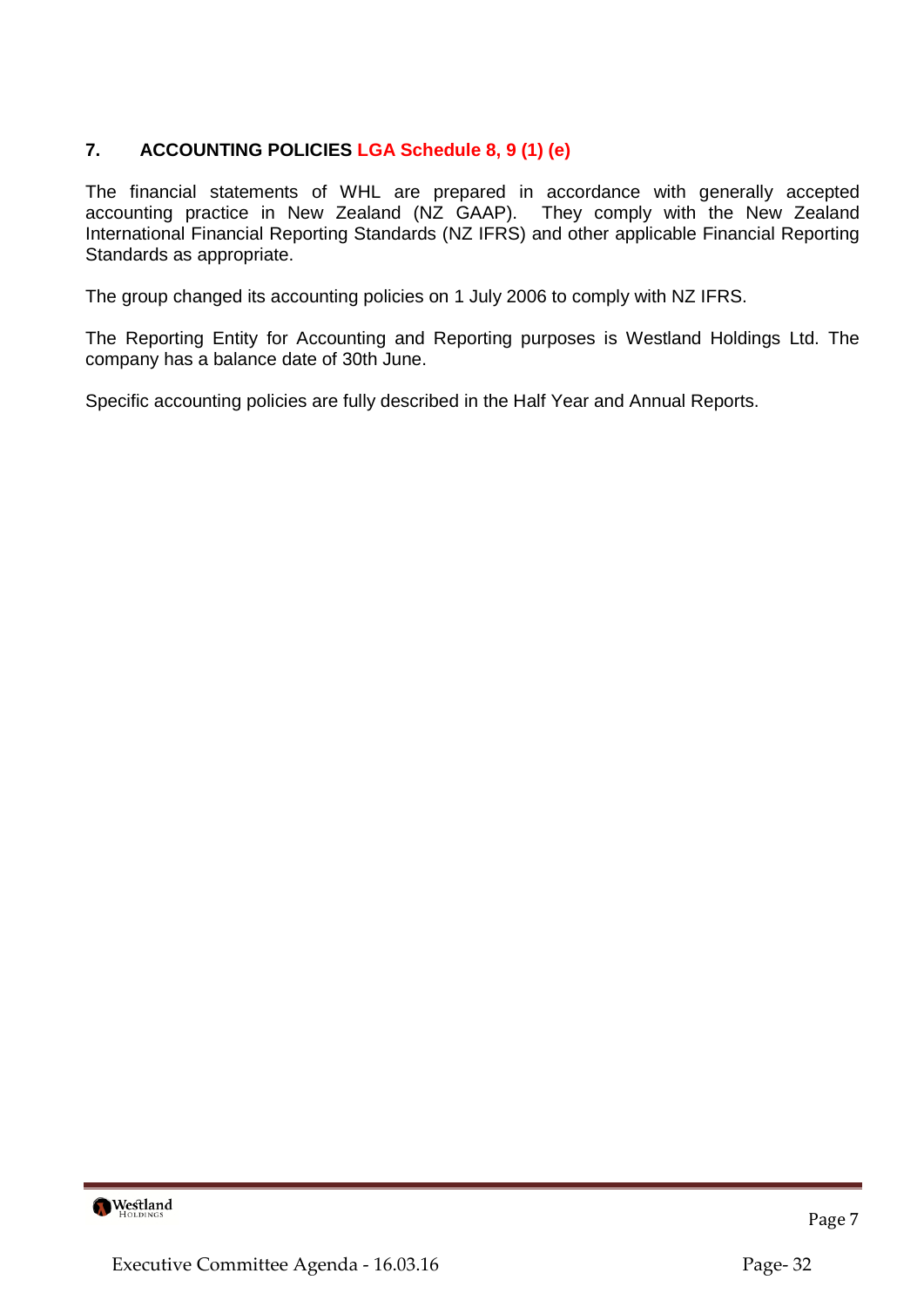# **7. ACCOUNTING POLICIES LGA Schedule 8, 9 (1) (e)**

The financial statements of WHL are prepared in accordance with generally accepted accounting practice in New Zealand (NZ GAAP). They comply with the New Zealand International Financial Reporting Standards (NZ IFRS) and other applicable Financial Reporting Standards as appropriate.

The group changed its accounting policies on 1 July 2006 to comply with NZ IFRS.

The Reporting Entity for Accounting and Reporting purposes is Westland Holdings Ltd. The company has a balance date of 30th June.

Specific accounting policies are fully described in the Half Year and Annual Reports.

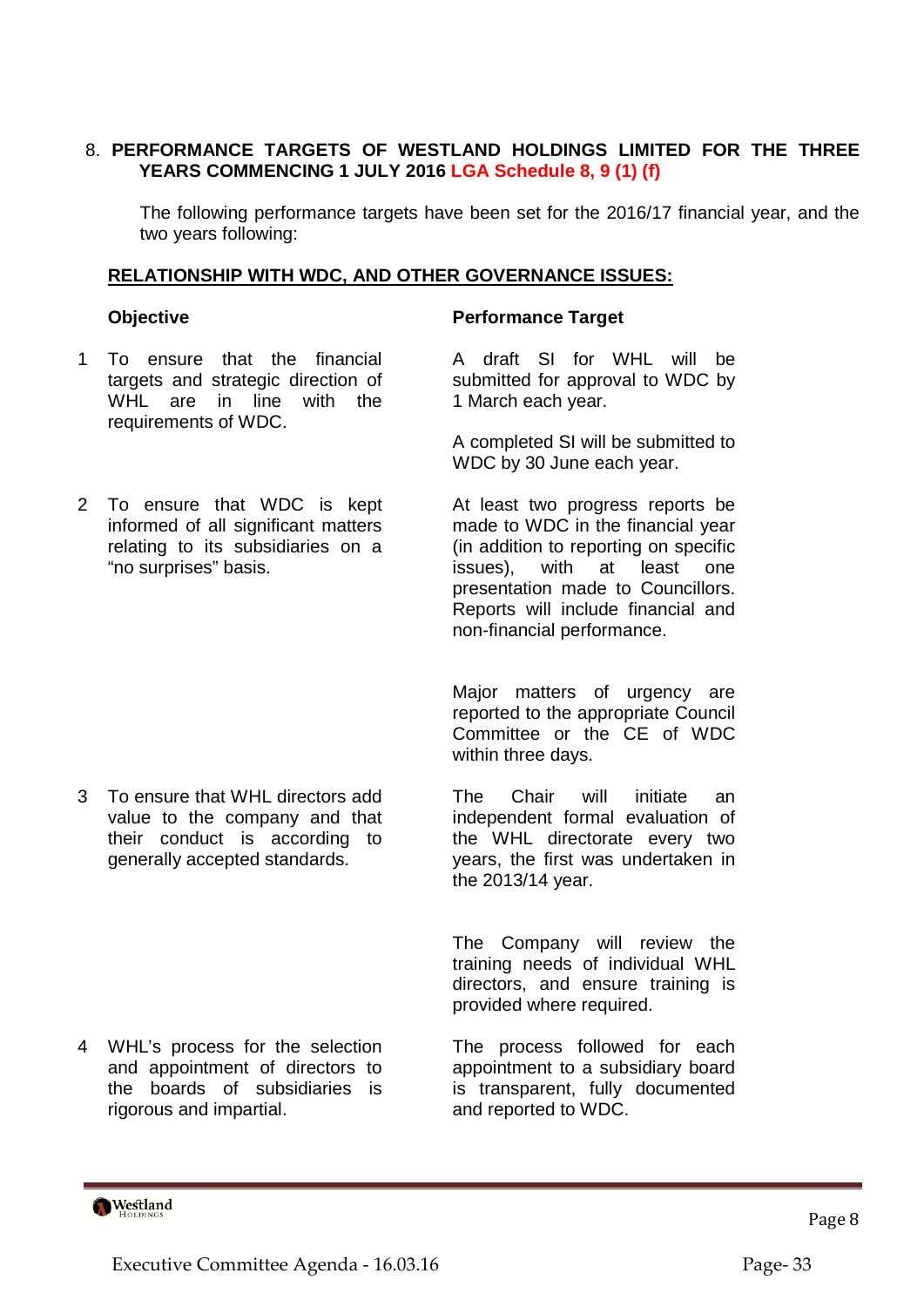# 8. **PERFORMANCE TARGETS OF WESTLAND HOLDINGS LIMITED FOR THE THREE YEARS COMMENCING 1 JULY 2016 LGA Schedule 8, 9 (1) (f)**

The following performance targets have been set for the 2016/17 financial year, and the two years following:

#### **RELATIONSHIP WITH WDC, AND OTHER GOVERNANCE ISSUES:**

- 1 To ensure that the financial targets and strategic direction of WHL are in line with the requirements of WDC.
- 2 To ensure that WDC is kept informed of all significant matters relating to its subsidiaries on a "no surprises" basis.

3 To ensure that WHL directors add value to the company and that their conduct is according to generally accepted standards.

4 WHL's process for the selection and appointment of directors to the boards of subsidiaries is rigorous and impartial.

#### **Objective Community Performance Target**

A draft SI for WHL will be submitted for approval to WDC by 1 March each year.

A completed SI will be submitted to WDC by 30 June each year.

At least two progress reports be made to WDC in the financial year (in addition to reporting on specific issues), with at least one presentation made to Councillors. Reports will include financial and non-financial performance.

Major matters of urgency are reported to the appropriate Council Committee or the CE of WDC within three days.

The Chair will initiate an independent formal evaluation of the WHL directorate every two years, the first was undertaken in the 2013/14 year.

The Company will review the training needs of individual WHL directors, and ensure training is provided where required.

The process followed for each appointment to a subsidiary board is transparent, fully documented and reported to WDC.

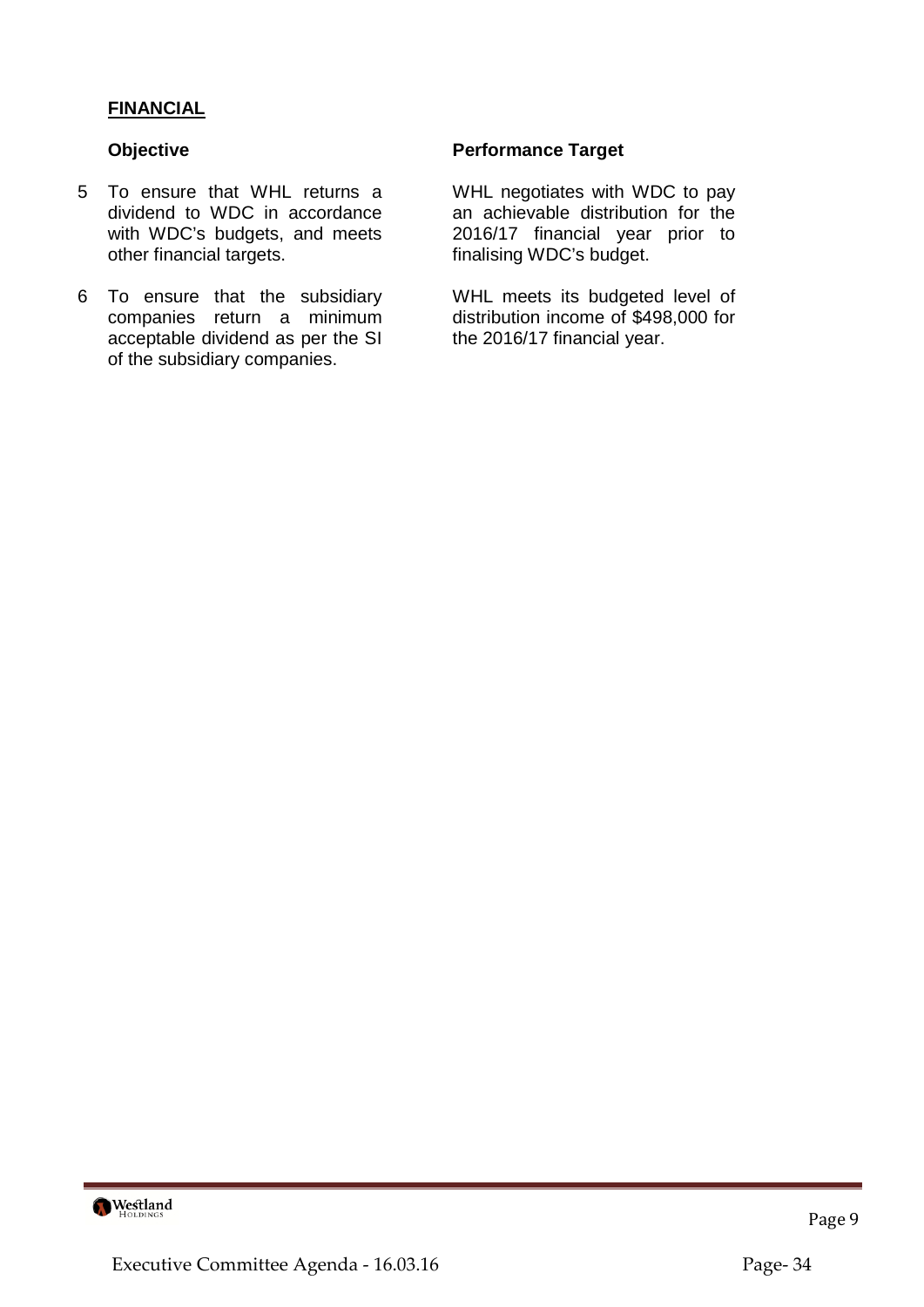# **FINANCIAL**

- 5 To ensure that WHL returns a dividend to WDC in accordance with WDC's budgets, and meets other financial targets.
- 6 To ensure that the subsidiary companies return a minimum acceptable dividend as per the SI of the subsidiary companies.

# **Objective Community Community Performance Target**

WHL negotiates with WDC to pay an achievable distribution for the 2016/17 financial year prior to finalising WDC's budget.

WHL meets its budgeted level of distribution income of \$498,000 for the 2016/17 financial year.

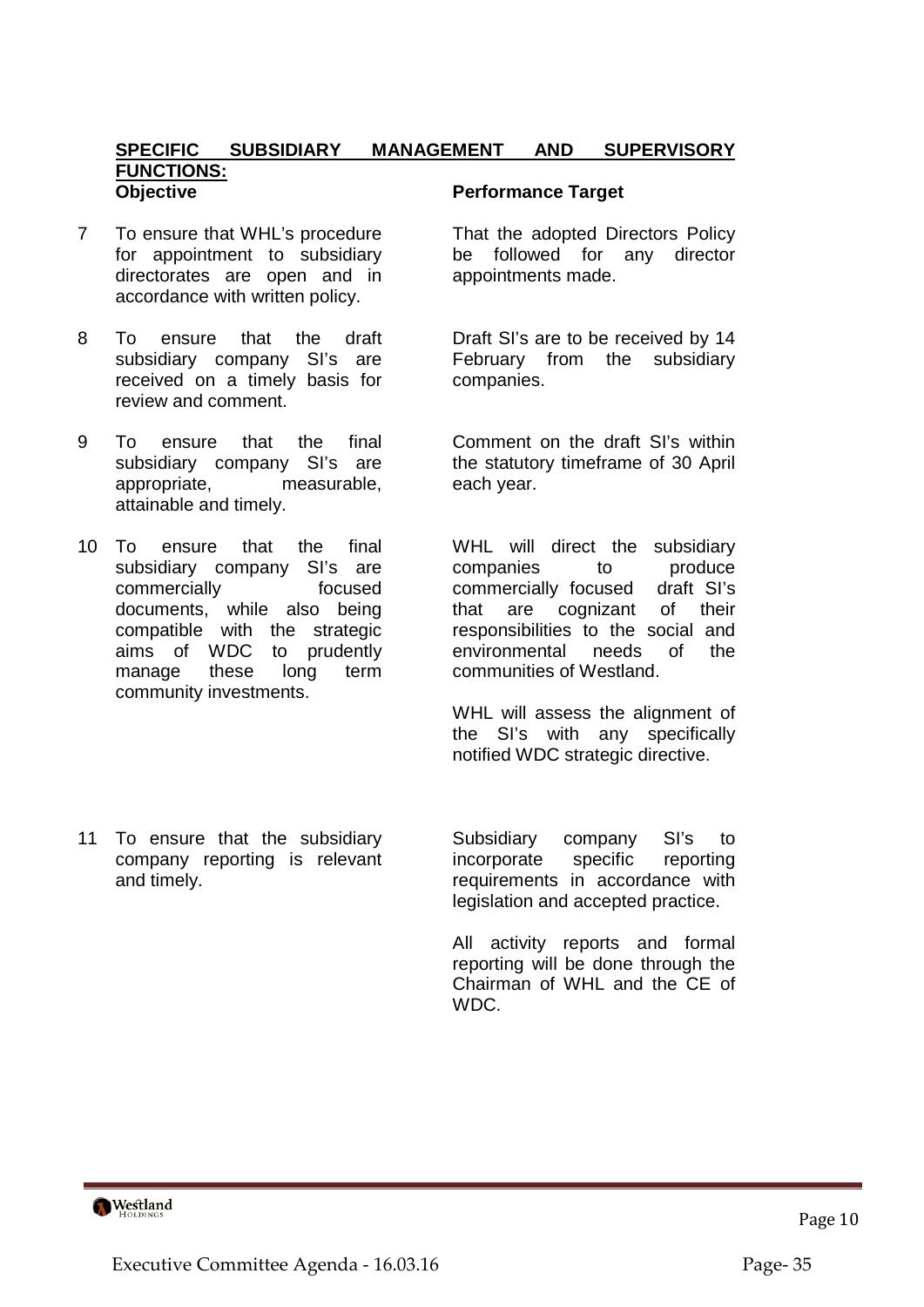#### **SPECIFIC SUBSIDIARY MANAGEMENT AND SUPERVISORY FUNCTIONS: Objective Community Performance Target**

- 7 To ensure that WHL's procedure for appointment to subsidiary directorates are open and in accordance with written policy.
- 8 To ensure that the draft subsidiary company SI's are received on a timely basis for review and comment.
- 9 To ensure that the final subsidiary company SI's are appropriate, measurable, attainable and timely.
- 10 To ensure that the final subsidiary company SI's are commercially focused documents, while also being compatible with the strategic aims of WDC to prudently manage these long term community investments.
- 11 To ensure that the subsidiary company reporting is relevant and timely.

That the adopted Directors Policy be followed for any director appointments made.

Draft SI's are to be received by 14 February from the subsidiary companies.

Comment on the draft SI's within the statutory timeframe of 30 April each year.

WHL will direct the subsidiary companies to produce commercially focused draft SI's that are cognizant of their responsibilities to the social and environmental needs of the communities of Westland.

WHL will assess the alignment of the SI's with any specifically notified WDC strategic directive.

Subsidiary company SI's to incorporate specific reporting requirements in accordance with legislation and accepted practice.

All activity reports and formal reporting will be done through the Chairman of WHL and the CE of WDC.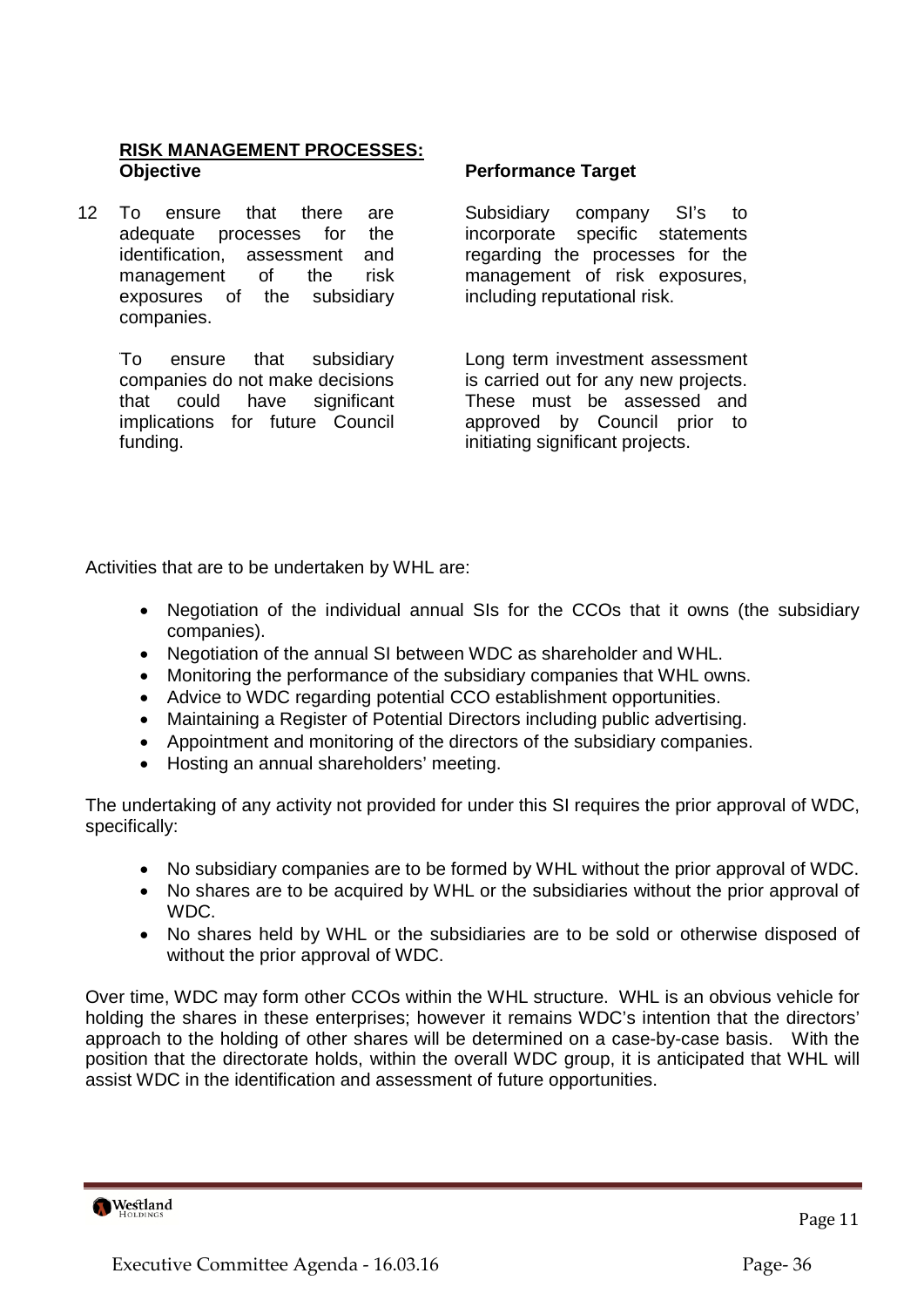# **RISK MANAGEMENT PROCESSES: Objective Community Community Performance Target**

12 To ensure that there are adequate processes for the identification, assessment and management of the risk exposures of the subsidiary companies.

> To ensure that subsidiary companies do not make decisions that could have significant implications for future Council funding.

Subsidiary company SI's to incorporate specific statements regarding the processes for the management of risk exposures, including reputational risk.

Long term investment assessment is carried out for any new projects. These must be assessed and approved by Council prior to initiating significant projects.

Activities that are to be undertaken by WHL are:

- Negotiation of the individual annual SIs for the CCOs that it owns (the subsidiary companies).
- Negotiation of the annual SI between WDC as shareholder and WHL.
- Monitoring the performance of the subsidiary companies that WHL owns.
- Advice to WDC regarding potential CCO establishment opportunities.
- Maintaining a Register of Potential Directors including public advertising.
- Appointment and monitoring of the directors of the subsidiary companies.
- Hosting an annual shareholders' meeting.

The undertaking of any activity not provided for under this SI requires the prior approval of WDC, specifically:

- No subsidiary companies are to be formed by WHL without the prior approval of WDC.
- No shares are to be acquired by WHL or the subsidiaries without the prior approval of WDC.
- No shares held by WHL or the subsidiaries are to be sold or otherwise disposed of without the prior approval of WDC.

Over time, WDC may form other CCOs within the WHL structure. WHL is an obvious vehicle for holding the shares in these enterprises; however it remains WDC's intention that the directors' approach to the holding of other shares will be determined on a case-by-case basis. With the position that the directorate holds, within the overall WDC group, it is anticipated that WHL will assist WDC in the identification and assessment of future opportunities.

Westland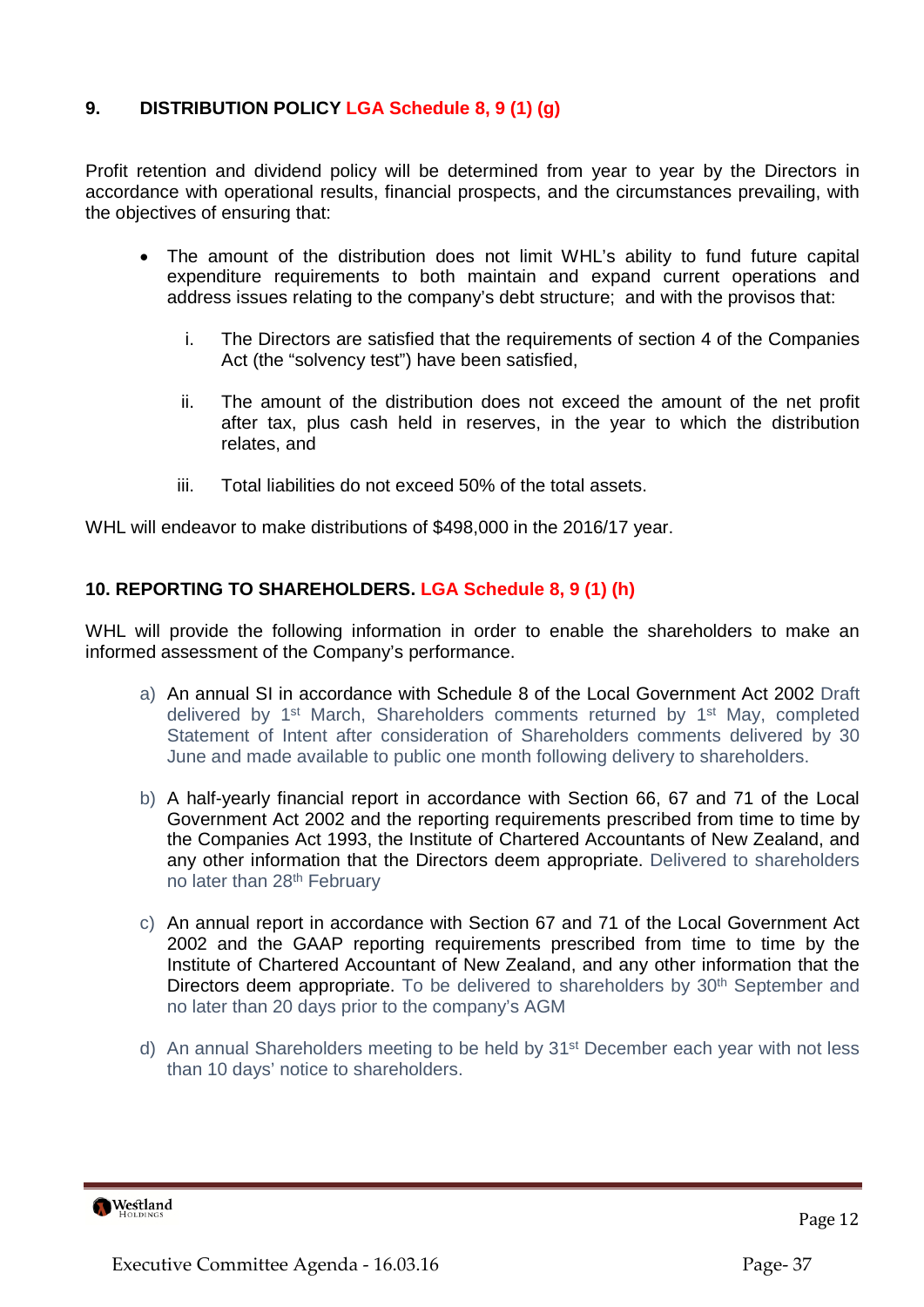# **9. DISTRIBUTION POLICY LGA Schedule 8, 9 (1) (g)**

Profit retention and dividend policy will be determined from year to year by the Directors in accordance with operational results, financial prospects, and the circumstances prevailing, with the objectives of ensuring that:

- The amount of the distribution does not limit WHL's ability to fund future capital expenditure requirements to both maintain and expand current operations and address issues relating to the company's debt structure; and with the provisos that:
	- i. The Directors are satisfied that the requirements of section 4 of the Companies Act (the "solvency test") have been satisfied,
	- ii. The amount of the distribution does not exceed the amount of the net profit after tax, plus cash held in reserves, in the year to which the distribution relates, and
	- iii. Total liabilities do not exceed 50% of the total assets.

WHL will endeavor to make distributions of \$498,000 in the 2016/17 year.

# **10. REPORTING TO SHAREHOLDERS. LGA Schedule 8, 9 (1) (h)**

WHL will provide the following information in order to enable the shareholders to make an informed assessment of the Company's performance.

- a) An annual SI in accordance with Schedule 8 of the Local Government Act 2002 Draft delivered by 1<sup>st</sup> March, Shareholders comments returned by 1<sup>st</sup> May, completed Statement of Intent after consideration of Shareholders comments delivered by 30 June and made available to public one month following delivery to shareholders.
- b) A half-yearly financial report in accordance with Section 66, 67 and 71 of the Local Government Act 2002 and the reporting requirements prescribed from time to time by the Companies Act 1993, the Institute of Chartered Accountants of New Zealand, and any other information that the Directors deem appropriate. Delivered to shareholders no later than 28th February
- c) An annual report in accordance with Section 67 and 71 of the Local Government Act 2002 and the GAAP reporting requirements prescribed from time to time by the Institute of Chartered Accountant of New Zealand, and any other information that the Directors deem appropriate. To be delivered to shareholders by 30<sup>th</sup> September and no later than 20 days prior to the company's AGM
- d) An annual Shareholders meeting to be held by 31st December each year with not less than 10 days' notice to shareholders.



Page 12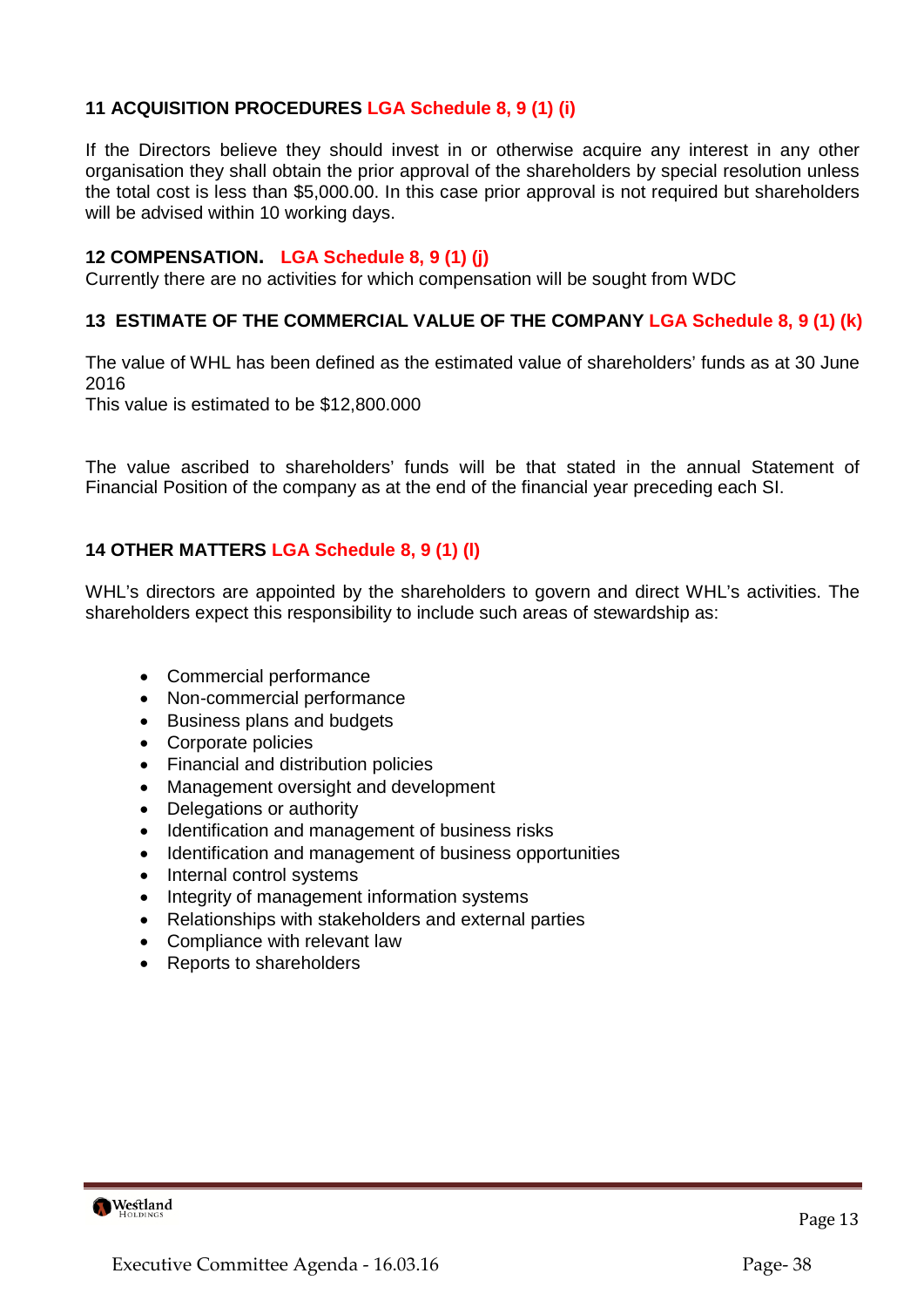# **11 ACQUISITION PROCEDURES LGA Schedule 8, 9 (1) (i)**

If the Directors believe they should invest in or otherwise acquire any interest in any other organisation they shall obtain the prior approval of the shareholders by special resolution unless the total cost is less than \$5,000.00. In this case prior approval is not required but shareholders will be advised within 10 working days.

# **12 COMPENSATION. LGA Schedule 8, 9 (1) (j)**

Currently there are no activities for which compensation will be sought from WDC

# **13 ESTIMATE OF THE COMMERCIAL VALUE OF THE COMPANY LGA Schedule 8, 9 (1) (k)**

The value of WHL has been defined as the estimated value of shareholders' funds as at 30 June 2016

This value is estimated to be \$12,800.000

The value ascribed to shareholders' funds will be that stated in the annual Statement of Financial Position of the company as at the end of the financial year preceding each SI.

# **14 OTHER MATTERS LGA Schedule 8, 9 (1) (l)**

WHL's directors are appointed by the shareholders to govern and direct WHL's activities. The shareholders expect this responsibility to include such areas of stewardship as:

- Commercial performance
- Non-commercial performance
- Business plans and budgets
- Corporate policies
- Financial and distribution policies
- Management oversight and development
- Delegations or authority
- Identification and management of business risks
- Identification and management of business opportunities
- Internal control systems
- Integrity of management information systems
- Relationships with stakeholders and external parties
- Compliance with relevant law
- Reports to shareholders